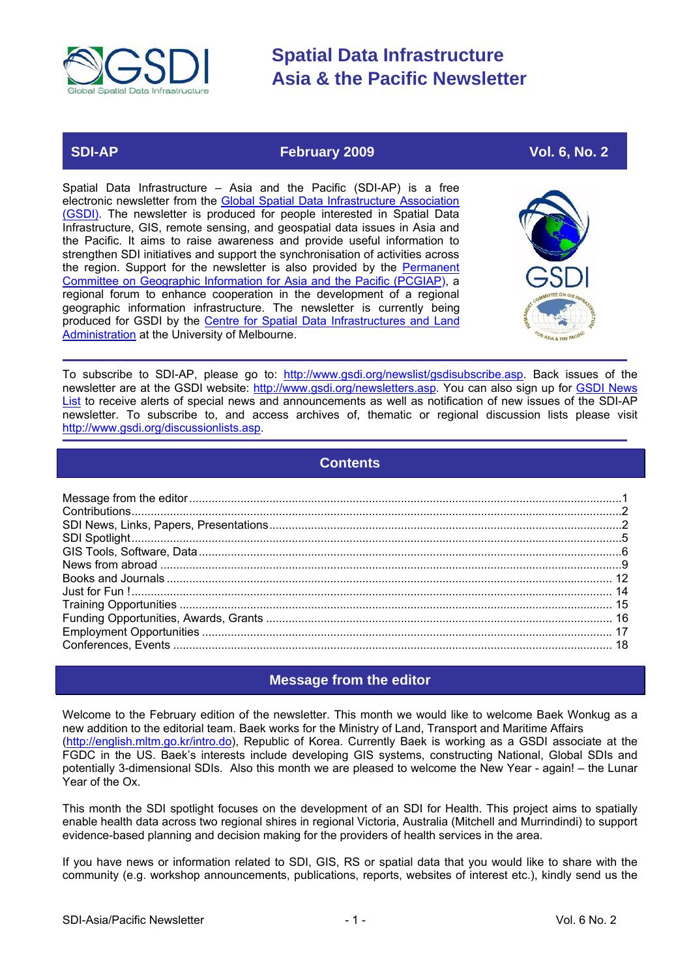<span id="page-0-0"></span>

### **SDI-AP February 2009 February 2009 Vol. 6, No. 2**

Spatial Data Infrastructure – Asia and the Pacific (SDI-AP) is a free electronic newsletter from the Global Spatial Data Infrastructure Association [\(GSDI\).](http://www.gsdi.org/) The newsletter is produced for people interested in Spatial Data Infrastructure, GIS, remote sensing, and geospatial data issues in Asia and the Pacific. It aims to raise awareness and provide useful information to strengthen SDI initiatives and support the synchronisation of activities across the region. Support for the newsletter is also provided by the [Permanent](http://www.pcgiap.org/) [Committee on Geographic Information for Asia and the Pacific \(PCGIAP](http://www.pcgiap.org/)), a regional forum to enhance cooperation in the development of a regional geographic information infrastructure. The newsletter is currently being produced for GSDI by the [Centre for Spatial Data Infrastructures](http://www.geom.unimelb.edu.au/research/SDI_research/index.html) and Land [Administration](http://www.geom.unimelb.edu.au/research/SDI_research/index.html) at the University of Melbourne.



To subscribe to SDI-AP, please go to: [http://www.gsdi.org/newslist/gsdisubscribe.asp.](http://www.gsdi.org/newslist/gsdisubscribe.asp) Back issues of the newsletter are at the GSDI website: <http://www.gsdi.org/newsletters.asp>. You can also sign up for [GSDI News](http://www.gsdi.org/newslist/gsdisubscribe.asp) [List](http://www.gsdi.org/newslist/gsdisubscribe.asp) to receive alerts of special news and announcements as well as notification of new issues of the SDI-AP newsletter. To subscribe to, and access archives of, thematic or regional discussion lists please visit <http://www.gsdi.org/discussionlists.asp>.

### **Contents**

### **Message from the editor**

Welcome to the February edition of the newsletter. This month we would like to welcome Baek Wonkug as a new addition to the editorial team. Baek works for the Ministry of Land, Transport and Maritime Affairs [\(http://english.mltm.go.kr/intro.do\)](http://english.mltm.go.kr/intro.do), Republic of Korea. Currently Baek is working as a GSDI associate at the FGDC in the US. Baek's interests include developing GIS systems, constructing National, Global SDIs and potentially 3-dimensional SDIs. Also this month we are pleased to welcome the New Year - again! – the Lunar Year of the Ox.

This month the SDI spotlight focuses on the development of an SDI for Health. This project aims to spatially enable health data across two regional shires in regional Victoria, Australia (Mitchell and Murrindindi) to support evidence-based planning and decision making for the providers of health services in the area.

If you have news or information related to SDI, GIS, RS or spatial data that you would like to share with the community (e.g. workshop announcements, publications, reports, websites of interest etc.), kindly send us the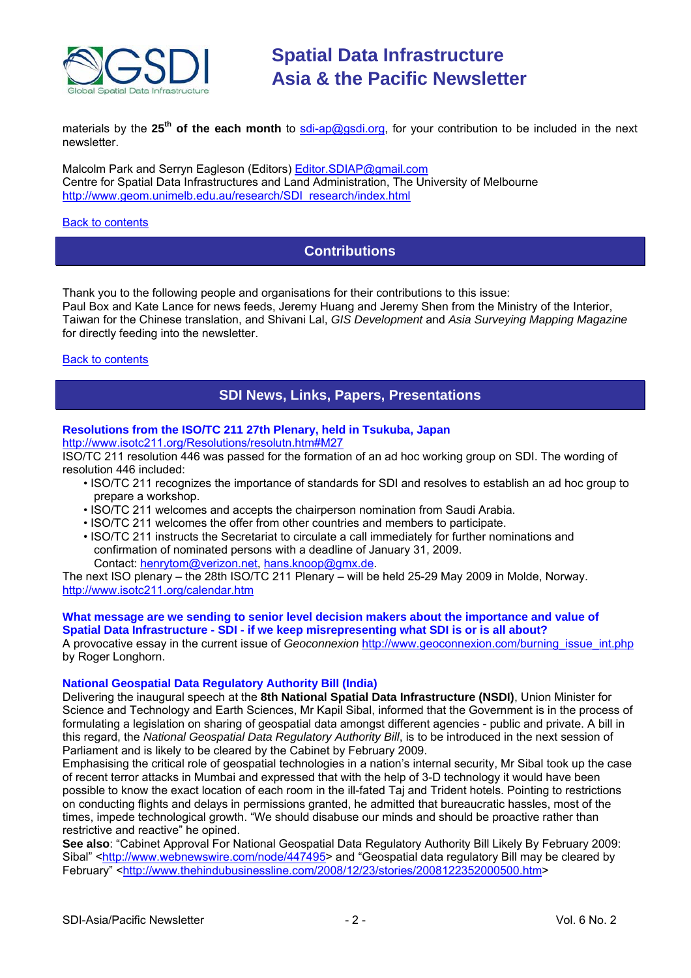<span id="page-1-0"></span>

materials by the 25<sup>th</sup> of the each month to [sdi-ap@gsdi.org](mailto:sdi-ap@gsdi.org), for your contribution to be included in the next newsletter.

Malcolm Park and Serryn Eagleson (Editors) [Editor.SDIAP@gmail.com](mailto:Editor.SDIAP@gmail.com) Centre for Spatial Data Infrastructures and Land Administration, The University of Melbourne [http://www.geom.unimelb.edu.au/research/SDI\\_research/index.html](http://www.geom.unimelb.edu.au/research/SDI_research/index.html)

#### **[Back to contents](#page-0-0)**

### **Contributions**

Thank you to the following people and organisations for their contributions to this issue: Paul Box and Kate Lance for news feeds, Jeremy Huang and Jeremy Shen from the Ministry of the Interior, Taiwan for the Chinese translation, and Shivani Lal, *GIS Development* and *Asia Surveying Mapping Magazine* for directly feeding into the newsletter.

#### **[Back to contents](#page-0-0)**

### **SDI News, Links, Papers, Presentations**

### **Resolutions from the ISO/TC 211 27th Plenary, held in Tsukuba, Japan**

<http://www.isotc211.org/Resolutions/resolutn.htm#M27>

ISO/TC 211 resolution 446 was passed for the formation of an ad hoc working group on SDI. The wording of resolution 446 included:

- ISO/TC 211 recognizes the importance of standards for SDI and resolves to establish an ad hoc group to prepare a workshop.
- ISO/TC 211 welcomes and accepts the chairperson nomination from Saudi Arabia.
- ISO/TC 211 welcomes the offer from other countries and members to participate.
- ISO/TC 211 instructs the Secretariat to circulate a call immediately for further nominations and confirmation of nominated persons with a deadline of January 31, 2009. Contact: [henrytom@verizon.net,](mailto:henrytom@verizon.net) [hans.knoop@gmx.de.](mailto:hans.knoop@gmx.de)

The next ISO plenary – the 28th ISO/TC 211 Plenary – will be held 25-29 May 2009 in Molde, Norway. <http://www.isotc211.org/calendar.htm>

#### **What message are we sending to senior level decision makers about the importance and value of Spatial Data Infrastructure - SDI - if we keep misrepresenting what SDI is or is all about?**

A provocative essay in the current issue of *Geoconnexion* [http://www.geoconnexion.com/burning\\_issue\\_int.php](http://www.geoconnexion.com/burning_issue_int.php) by Roger Longhorn.

#### **National Geospatial Data Regulatory Authority Bill (India)**

Delivering the inaugural speech at the **8th National Spatial Data Infrastructure (NSDI)**, Union Minister for Science and Technology and Earth Sciences, Mr Kapil Sibal, informed that the Government is in the process of formulating a legislation on sharing of geospatial data amongst different agencies - public and private. A bill in this regard, the *National Geospatial Data Regulatory Authority Bill*, is to be introduced in the next session of Parliament and is likely to be cleared by the Cabinet by February 2009.

Emphasising the critical role of geospatial technologies in a nation's internal security, Mr Sibal took up the case of recent terror attacks in Mumbai and expressed that with the help of 3-D technology it would have been possible to know the exact location of each room in the ill-fated Taj and Trident hotels. Pointing to restrictions on conducting flights and delays in permissions granted, he admitted that bureaucratic hassles, most of the times, impede technological growth. "We should disabuse our minds and should be proactive rather than restrictive and reactive" he opined.

**See also**: "Cabinet Approval For National Geospatial Data Regulatory Authority Bill Likely By February 2009: Sibal" [<http://www.webnewswire.com/node/447495](http://www.webnewswire.com/node/447495)> and "Geospatial data regulatory Bill may be cleared by February" <[http://www.thehindubusinessline.com/2008/12/23/stories/2008122352000500.htm>](http://www.thehindubusinessline.com/2008/12/23/stories/2008122352000500.htm)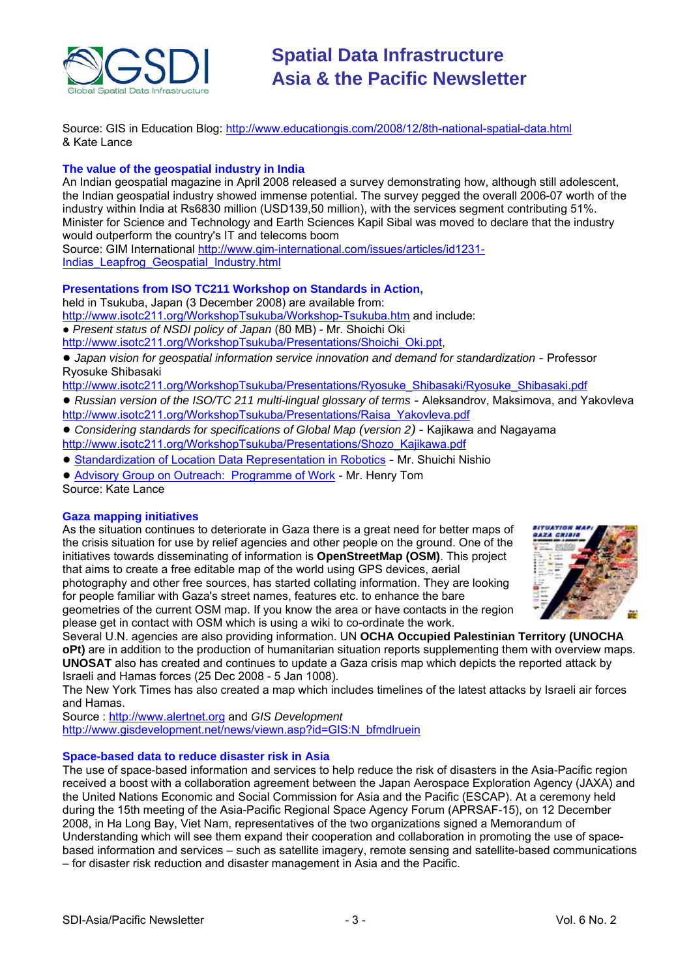

Source: GIS in Education Blog: <http://www.educationgis.com/2008/12/8th-national-spatial-data.html> & Kate Lance

#### **The value of the geospatial industry in India**

An Indian geospatial magazine in April 2008 released a survey demonstrating how, although still adolescent, the Indian geospatial industry showed immense potential. The survey pegged the overall 2006-07 worth of the industry within India at Rs6830 million (USD139,50 million), with the services segment contributing 51%. Minister for Science and Technology and Earth Sciences Kapil Sibal was moved to declare that the industry would outperform the country's IT and telecoms boom

Source: GIM International [http://www.gim-international.com/issues/articles/id1231-](http://www.gim-international.com/issues/articles/id1231-Indias_Leapfrog_Geospatial_Industry.html) [Indias\\_Leapfrog\\_Geospatial\\_Industry.html](http://www.gim-international.com/issues/articles/id1231-Indias_Leapfrog_Geospatial_Industry.html)

#### **Presentations from ISO TC211 Workshop on Standards in Action,**

held in Tsukuba, Japan (3 December 2008) are available from:

<http://www.isotc211.org/WorkshopTsukuba/Workshop-Tsukuba.htm>and include:

● *Present status of NSDI policy of Japan* (80 MB) - Mr. Shoichi Oki

[http://www.isotc211.org/WorkshopTsukuba/Presentations/Shoichi\\_Oki.ppt,](http://www.isotc211.org/WorkshopTsukuba/Presentations/Shoichi_Oki.ppt)

● *Japan vision for geospatial information service innovation and demand for standardization* - Professor Ryosuke Shibasaki

[http://www.isotc211.org/WorkshopTsukuba/Presentations/Ryosuke\\_Shibasaki/Ryosuke\\_Shibasaki.pdf](http://www.isotc211.org/WorkshopTsukuba/Presentations/Ryosuke_Shibasaki/Ryosuke_Shibasaki.pdf)

- *Russian version of the ISO/TC 211 multi-lingual glossary of terms* Aleksandrov, Maksimova, and Yakovleva [http://www.isotc211.org/WorkshopTsukuba/Presentations/Raisa\\_Yakovleva.pdf](http://www.isotc211.org/WorkshopTsukuba/Presentations/Raisa_Yakovleva.pdf)
- *Considering standards for specifications of Global Map (version 2)* Kajikawa and Nagayama [http://www.isotc211.org/WorkshopTsukuba/Presentations/Shozo\\_Kajikawa.pdf](http://www.isotc211.org/WorkshopTsukuba/Presentations/Shozo_Kajikawa.pdf)
- [Standardization of Location Data](http://www.isotc211.org/WorkshopTsukuba/Presentations/Shuichi_Nishio.pdf) Representation in Robotics Mr. Shuichi Nishio

● [Advisory Group on Outreach: Programme of Work](http://www.isotc211.org/WorkshopTsukuba/Presentations/Henry_Tom.pdf) - Mr. Henry Tom Source: Kate Lance

#### **Gaza mapping initiatives**

As the situation continues to deteriorate in Gaza there is a great need for better maps of the crisis situation for use by relief agencies and other people on the ground. One of the initiatives towards disseminating of information is **OpenStreetMap (OSM)**. This project that aims to create a free editable map of the world using GPS devices, aerial photography and other free sources, has started collating information. They are looking for people familiar with Gaza's street names, features etc. to enhance the bare geometries of the current OSM map. If you know the area or have contacts in the region please get in contact with OSM which is using a wiki to co-ordinate the work.



Several U.N. agencies are also providing information. UN **OCHA Occupied Palestinian Territory (UNOCHA oPt)** are in addition to the production of humanitarian situation reports supplementing them with overview maps. **UNOSAT** also has created and continues to update a Gaza crisis map which depicts the reported attack by Israeli and Hamas forces (25 Dec 2008 - 5 Jan 1008).

The New York Times has also created a map which includes timelines of the latest attacks by Israeli air forces and Hamas.

Source : [http://www.alertnet.org](http://www.alertnet.org/thenews/newsdesk/123125275054.htm) and *GIS Development* [http://www.gisdevelopment.net/news/viewn.asp?id=GIS:N\\_bfmdlruein](http://www.gisdevelopment.net/news/viewn.asp?id=GIS:N_bfmdlruein)

#### **Space-based data to reduce disaster risk in Asia**

The use of space-based information and services to help reduce the risk of disasters in the Asia-Pacific region received a boost with a collaboration agreement between the Japan Aerospace Exploration Agency (JAXA) and the United Nations Economic and Social Commission for Asia and the Pacific (ESCAP). At a ceremony held during the 15th meeting of the Asia-Pacific Regional Space Agency Forum (APRSAF-15), on 12 December 2008, in Ha Long Bay, Viet Nam, representatives of the two organizations signed a Memorandum of Understanding which will see them expand their cooperation and collaboration in promoting the use of spacebased information and services – such as satellite imagery, remote sensing and satellite-based communications – for disaster risk reduction and disaster management in Asia and the Pacific.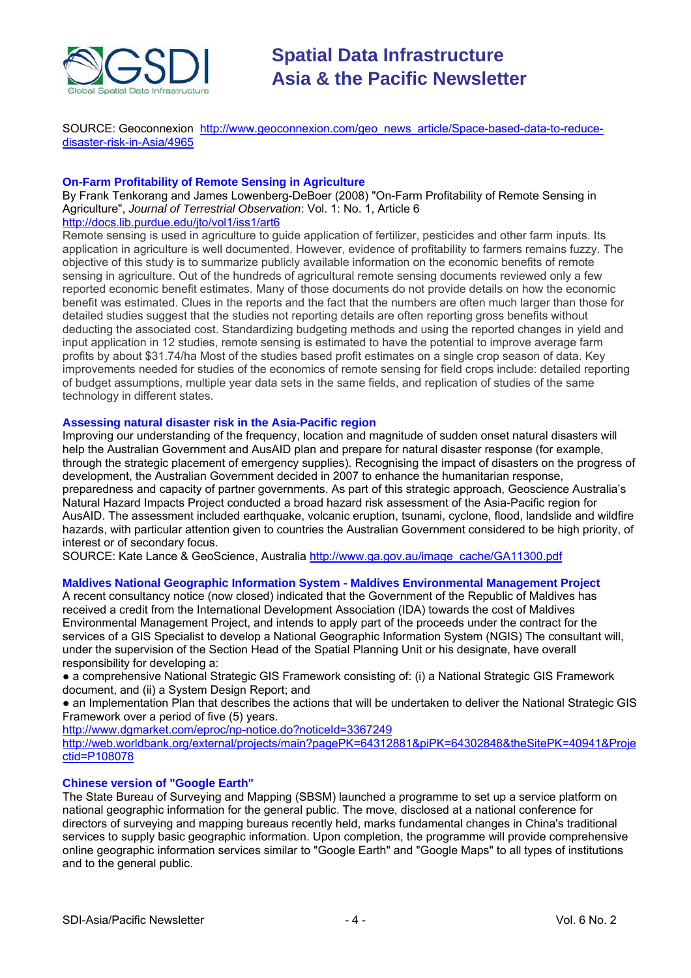

SOURCE: Geoconnexion http://www.geoconnexion.com/geo news article/Space-based-data-to-reduce[disaster-risk-in-Asia/4965](http://www.geoconnexion.com/geo_news_article/Space-based-data-to-reduce-disaster-risk-in-Asia/4965)

#### **On-Farm Profitability of Remote Sensing in Agriculture**

By Frank Tenkorang and James Lowenberg-DeBoer (2008) "On-Farm Profitability of Remote Sensing in Agriculture", *Journal of Terrestrial Observation*: Vol. 1: No. 1, Article 6 <http://docs.lib.purdue.edu/jto/vol1/iss1/art6>

Remote sensing is used in agriculture to guide application of fertilizer, pesticides and other farm inputs. Its application in agriculture is well documented. However, evidence of profitability to farmers remains fuzzy. The objective of this study is to summarize publicly available information on the economic benefits of remote sensing in agriculture. Out of the hundreds of agricultural remote sensing documents reviewed only a few reported economic benefit estimates. Many of those documents do not provide details on how the economic benefit was estimated. Clues in the reports and the fact that the numbers are often much larger than those for detailed studies suggest that the studies not reporting details are often reporting gross benefits without deducting the associated cost. Standardizing budgeting methods and using the reported changes in yield and input application in 12 studies, remote sensing is estimated to have the potential to improve average farm profits by about \$31.74/ha Most of the studies based profit estimates on a single crop season of data. Key improvements needed for studies of the economics of remote sensing for field crops include: detailed reporting of budget assumptions, multiple year data sets in the same fields, and replication of studies of the same technology in different states.

#### **Assessing natural disaster risk in the Asia-Pacific region**

Improving our understanding of the frequency, location and magnitude of sudden onset natural disasters will help the Australian Government and AusAID plan and prepare for natural disaster response (for example, through the strategic placement of emergency supplies). Recognising the impact of disasters on the progress of development, the Australian Government decided in 2007 to enhance the humanitarian response, preparedness and capacity of partner governments. As part of this strategic approach, Geoscience Australia's Natural Hazard Impacts Project conducted a broad hazard risk assessment of the Asia-Pacific region for AusAID. The assessment included earthquake, volcanic eruption, tsunami, cyclone, flood, landslide and wildfire hazards, with particular attention given to countries the Australian Government considered to be high priority, of interest or of secondary focus.

SOURCE: Kate Lance & GeoScience, Australia [http://www.ga.gov.au/image\\_cache/GA11300.pdf](http://www.ga.gov.au/image_cache/GA11300.pdf)

#### **Maldives National Geographic Information System - Maldives Environmental Management Project**

A recent consultancy notice (now closed) indicated that the Government of the Republic of Maldives has received a credit from the International Development Association (IDA) towards the cost of Maldives Environmental Management Project, and intends to apply part of the proceeds under the contract for the services of a GIS Specialist to develop a National Geographic Information System (NGIS) The consultant will, under the supervision of the Section Head of the Spatial Planning Unit or his designate, have overall responsibility for developing a:

● a comprehensive National Strategic GIS Framework consisting of: (i) a National Strategic GIS Framework document, and (ii) a System Design Report; and

● an Implementation Plan that describes the actions that will be undertaken to deliver the National Strategic GIS Framework over a period of five (5) years.

<http://www.dgmarket.com/eproc/np-notice.do?noticeId=3367249>

[http://web.worldbank.org/external/projects/main?pagePK=64312881&piPK=64302848&theSitePK=40941&Proje](http://web.worldbank.org/external/projects/main?pagePK=64312881%26piPK=64302848%26theSitePK=40941%26Projectid=P108078) [ctid=P108078](http://web.worldbank.org/external/projects/main?pagePK=64312881%26piPK=64302848%26theSitePK=40941%26Projectid=P108078)

#### **Chinese version of "Google Earth"**

The State Bureau of Surveying and Mapping (SBSM) launched a programme to set up a service platform on national geographic information for the general public. The move, disclosed at a national conference for directors of surveying and mapping bureaus recently held, marks fundamental changes in China's traditional services to supply basic geographic information. Upon completion, the programme will provide comprehensive online geographic information services similar to "Google Earth" and "Google Maps" to all types of institutions and to the general public.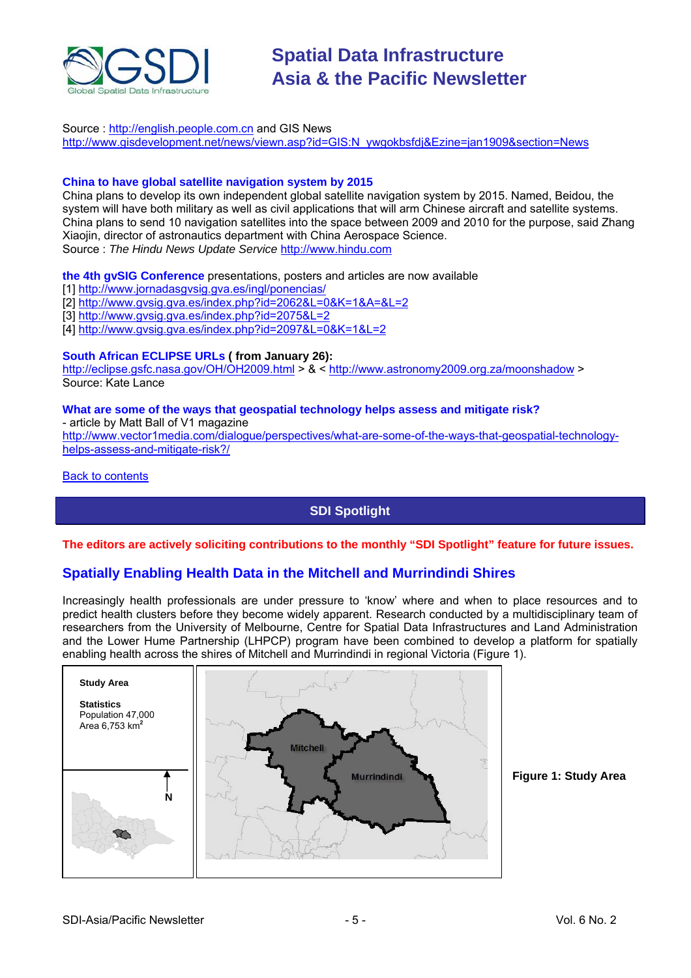<span id="page-4-0"></span>

Source : [http://english.people.com.cn](http://english.people.com.cn/90001/90776/90882/6575042.html) and GIS News [http://www.gisdevelopment.net/news/viewn.asp?id=GIS:N\\_ywgokbsfdj&Ezine=jan1909&section=News](http://www.gisdevelopment.net/news/viewn.asp?id=GIS:N_ywgokbsfdj&Ezine=jan1909§ion=News)

#### **China to have global satellite navigation system by 2015**

China plans to develop its own independent global satellite navigation system by 2015. Named, Beidou, the system will have both military as well as civil applications that will arm Chinese aircraft and satellite systems. China plans to send 10 navigation satellites into the space between 2009 and 2010 for the purpose, said Zhang Xiaojin, director of astronautics department with China Aerospace Science. Source : *The Hindu News Update Service* [http://www.hindu.com](http://www.hindu.com/thehindu/holnus/001200901191711.htm)

#### **the 4th gvSIG Conference** presentations, posters and articles are now available

[1] <http://www.jornadasgvsig.gva.es/ingl/ponencias/>

- [2] <http://www.gvsig.gva.es/index.php?id=2062&L=0&K=1&A=&L=2>
- [3] <http://www.gvsig.gva.es/index.php?id=2075&L=2>
- [4] <http://www.gvsig.gva.es/index.php?id=2097&L=0&K=1&L=2>

#### **South African ECLIPSE URLs ( from January 26):**

<http://eclipse.gsfc.nasa.gov/OH/OH2009.html>> & <<http://www.astronomy2009.org.za/moonshadow>> Source: Kate Lance

### **What are some of the ways that geospatial technology helps assess and mitigate risk?**

- article by Matt Ball of V1 magazine

[http://www.vector1media.com/dialogue/perspectives/what-are-some-of-the-ways-that-geospatial-technology](http://www.vector1media.com/dialogue/perspectives/what-are-some-of-the-ways-that-geospatial-technology-helps-assess-and-mitigate-risk?/)[helps-assess-and-mitigate-risk?/](http://www.vector1media.com/dialogue/perspectives/what-are-some-of-the-ways-that-geospatial-technology-helps-assess-and-mitigate-risk?/)

Back to [contents](#page-0-0) 

### **SDI Spotlight**

#### **The editors are actively soliciting contributions to the monthly "SDI Spotlight" feature for future issues.**

#### **Spatially Enabling Health Data in the Mitchell and Murrindindi Shires**

Increasingly health professionals are under pressure to 'know' where and when to place resources and to predict health clusters before they become widely apparent. Research conducted by a multidisciplinary team of researchers from the University of Melbourne, Centre for Spatial Data Infrastructures and Land Administration and the Lower Hume Partnership (LHPCP) program have been combined to develop a platform for spatially enabling health across the shires of Mitchell and Murrindindi in regional Victoria (Figure 1).



**Figure 1: Study Area**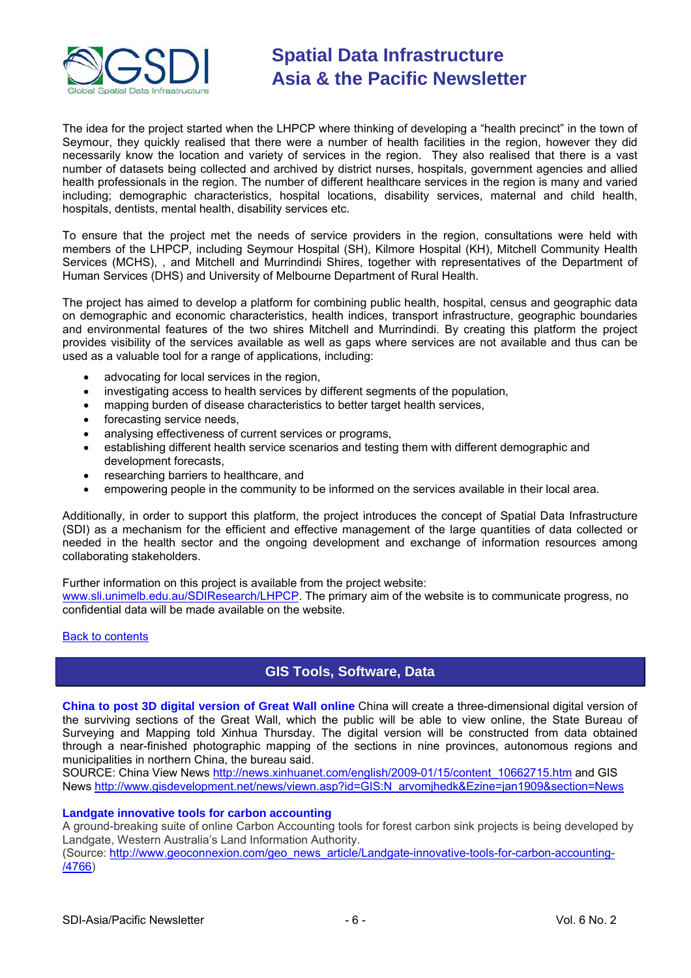<span id="page-5-0"></span>

The idea for the project started when the LHPCP where thinking of developing a "health precinct" in the town of Seymour, they quickly realised that there were a number of health facilities in the region, however they did necessarily know the location and variety of services in the region. They also realised that there is a vast number of datasets being collected and archived by district nurses, hospitals, government agencies and allied health professionals in the region. The number of different healthcare services in the region is many and varied including; demographic characteristics, hospital locations, disability services, maternal and child health, hospitals, dentists, mental health, disability services etc.

To ensure that the project met the needs of service providers in the region, consultations were held with members of the LHPCP, including Seymour Hospital (SH), Kilmore Hospital (KH), Mitchell Community Health Services (MCHS), , and Mitchell and Murrindindi Shires, together with representatives of the Department of Human Services (DHS) and University of Melbourne Department of Rural Health.

The project has aimed to develop a platform for combining public health, hospital, census and geographic data on demographic and economic characteristics, health indices, transport infrastructure, geographic boundaries and environmental features of the two shires Mitchell and Murrindindi. By creating this platform the project provides visibility of the services available as well as gaps where services are not available and thus can be used as a valuable tool for a range of applications, including:

- advocating for local services in the region,
- investigating access to health services by different segments of the population,
- mapping burden of disease characteristics to better target health services.
- forecasting service needs,
- analysing effectiveness of current services or programs,
- establishing different health service scenarios and testing them with different demographic and development forecasts,
- researching barriers to healthcare, and
- empowering people in the community to be informed on the services available in their local area.

Additionally, in order to support this platform, the project introduces the concept of Spatial Data Infrastructure (SDI) as a mechanism for the efficient and effective management of the large quantities of data collected or needed in the health sector and the ongoing development and exchange of information resources among collaborating stakeholders.

Further information on this project is available from the project website:

[www.sli.unimelb.edu.au/SDIResearch/LHPCP](http://www.sli.unimelb.edu.au/SDIResearch/LHPCP). The primary aim of the website is to communicate progress, no confidential data will be made available on the website.

#### [Back to contents](#page-0-0)

### **GIS Tools, Software, Data**

**China to post 3D digital version of Great Wall online** China will create a three-dimensional digital version of the surviving sections of the Great Wall, which the public will be able to view online, the State Bureau of Surveying and Mapping told Xinhua Thursday. The digital version will be constructed from data obtained through a near-finished photographic mapping of the sections in nine provinces, autonomous regions and municipalities in northern China, the bureau said.

SOURCE: China View News [http://news.xinhuanet.com/english/2009-01/15/content\\_10662715.htm](http://news.xinhuanet.com/english/2009-01/15/content_10662715.htm) and GIS News http://www.gisdevelopment.net/news/viewn.asp?id=GIS:N\_arvomihedk&Ezine=jan1909&section=News

#### **Landgate innovative tools for carbon accounting**

A ground-breaking suite of online Carbon Accounting tools for forest carbon sink projects is being developed by Landgate, Western Australia's Land Information Authority. (Source: [http://www.geoconnexion.com/geo\\_news\\_article/Landgate-innovative-tools-for-carbon-accounting-](http://www.geoconnexion.com/geo_news_article/Landgate-innovative-tools-for-carbon-accounting-/4766)

[/4766\)](http://www.geoconnexion.com/geo_news_article/Landgate-innovative-tools-for-carbon-accounting-/4766)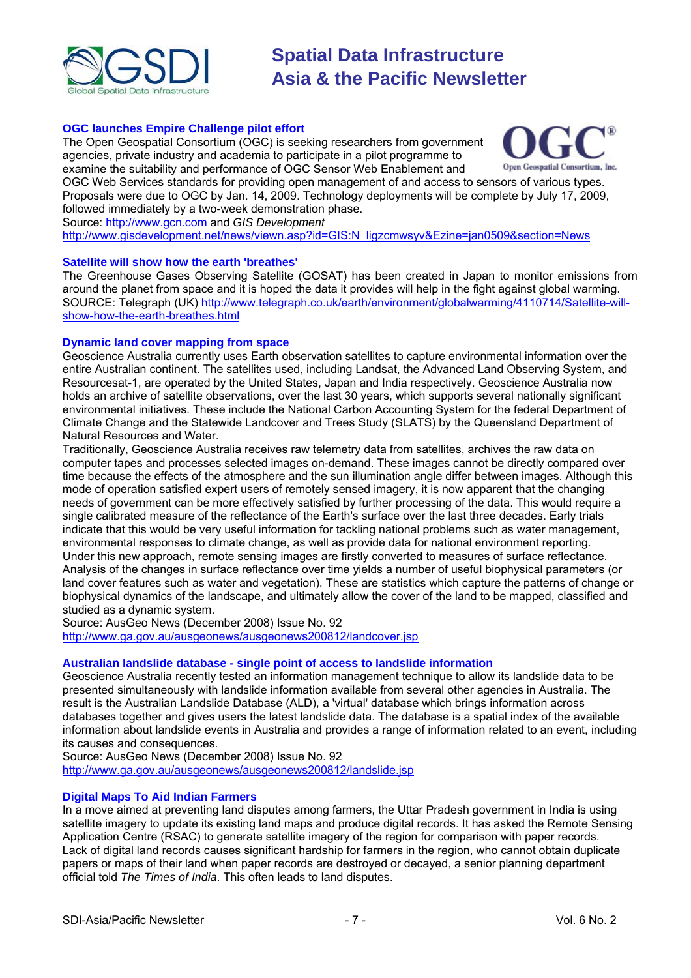

#### **OGC launches Empire Challenge pilot effort**

The Open Geospatial Consortium (OGC) is seeking researchers from government agencies, private industry and academia to participate in a pilot programme to examine the suitability and performance of OGC Sensor Web Enablement and



OGC Web Services standards for providing open management of and access to sensors of various types. Proposals were due to OGC by Jan. 14, 2009. Technology deployments will be complete by July 17, 2009, followed immediately by a two-week demonstration phase.

Source: [http://www.gcn.com](http://www.gcn.com/online/vol1_no1/47778-1.html) and *GIS Development*

[http://www.gisdevelopment.net/news/viewn.asp?id=GIS:N\\_ligzcmwsyv&Ezine=jan0509&section=News](http://www.gisdevelopment.net/news/viewn.asp?id=GIS:N_ligzcmwsyv&Ezine=jan0509§ion=News)

#### **Satellite will show how the earth 'breathes'**

The Greenhouse Gases Observing Satellite (GOSAT) has been created in Japan to monitor emissions from around the planet from space and it is hoped the data it provides will help in the fight against global warming. SOURCE: Telegraph (UK) [http://www.telegraph.co.uk/earth/environment/globalwarming/4110714/Satellite-will](http://www.telegraph.co.uk/earth/environment/globalwarming/4110714/Satellite-will-show-how-the-earth-breathes.html)[show-how-the-earth-breathes.html](http://www.telegraph.co.uk/earth/environment/globalwarming/4110714/Satellite-will-show-how-the-earth-breathes.html)

#### **Dynamic land cover mapping from space**

Geoscience Australia currently uses Earth observation satellites to capture environmental information over the entire Australian continent. The satellites used, including Landsat, the Advanced Land Observing System, and Resourcesat-1, are operated by the United States, Japan and India respectively. Geoscience Australia now holds an archive of satellite observations, over the last 30 years, which supports several nationally significant environmental initiatives. These include the National Carbon Accounting System for the federal Department of Climate Change and the Statewide Landcover and Trees Study (SLATS) by the Queensland Department of Natural Resources and Water.

Traditionally, Geoscience Australia receives raw telemetry data from satellites, archives the raw data on computer tapes and processes selected images on-demand. These images cannot be directly compared over time because the effects of the atmosphere and the sun illumination angle differ between images. Although this mode of operation satisfied expert users of remotely sensed imagery, it is now apparent that the changing needs of government can be more effectively satisfied by further processing of the data. This would require a single calibrated measure of the reflectance of the Earth's surface over the last three decades. Early trials indicate that this would be very useful information for tackling national problems such as water management, environmental responses to climate change, as well as provide data for national environment reporting. Under this new approach, remote sensing images are firstly converted to measures of surface reflectance. Analysis of the changes in surface reflectance over time yields a number of useful biophysical parameters (or land cover features such as water and vegetation). These are statistics which capture the patterns of change or biophysical dynamics of the landscape, and ultimately allow the cover of the land to be mapped, classified and studied as a dynamic system.

Source: AusGeo News (December 2008) Issue No. 92 <http://www.ga.gov.au/ausgeonews/ausgeonews200812/landcover.jsp>

#### **Australian landslide database - single point of access to landslide information**

Geoscience Australia recently tested an information management technique to allow its landslide data to be presented simultaneously with landslide information available from several other agencies in Australia. The result is the Australian Landslide Database (ALD), a 'virtual' database which brings information across databases together and gives users the latest landslide data. The database is a spatial index of the available information about landslide events in Australia and provides a range of information related to an event, including its causes and consequences.

Source: AusGeo News (December 2008) Issue No. 92 <http://www.ga.gov.au/ausgeonews/ausgeonews200812/landslide.jsp>

#### **Digital Maps To Aid Indian Farmers**

In a move aimed at preventing land disputes among farmers, the Uttar Pradesh government in India is using satellite imagery to update its existing land maps and produce digital records. It has asked the Remote Sensing Application Centre (RSAC) to generate satellite imagery of the region for comparison with paper records. Lack of digital land records causes significant hardship for farmers in the region, who cannot obtain duplicate papers or maps of their land when paper records are destroyed or decayed, a senior planning department official told *The Times of India*. This often leads to land disputes.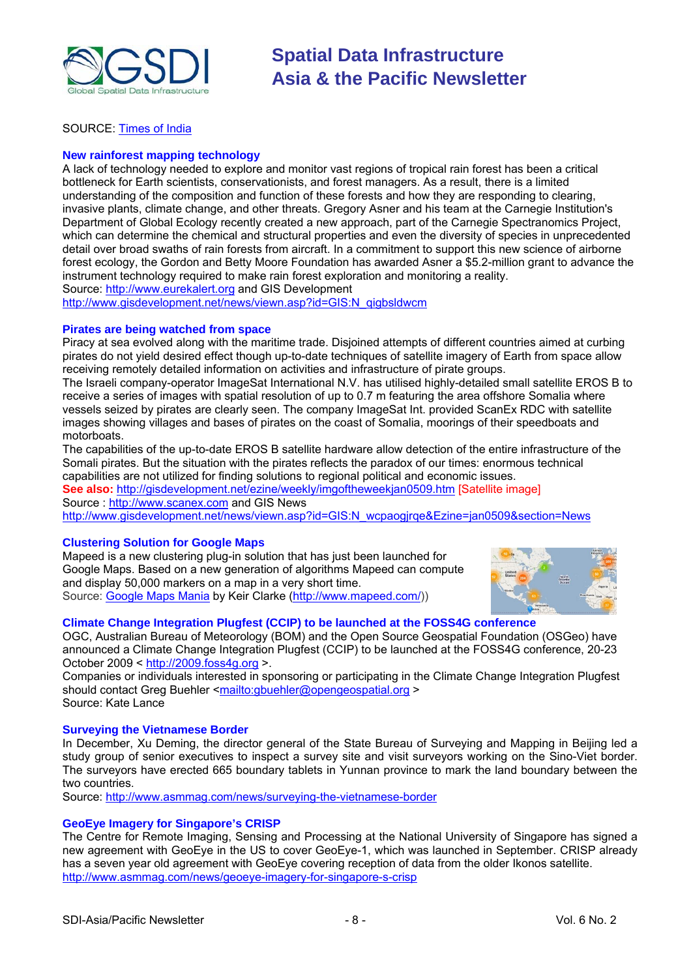

#### SOURCE: [Times of India](http://timesofindia.indiatimes.com/Cities/Digital_land_records_to_aid_UP_farmers/articleshow/3861464.cms)

#### **New rainforest mapping technology**

A lack of technology needed to explore and monitor vast regions of tropical rain forest has been a critical bottleneck for Earth scientists, conservationists, and forest managers. As a result, there is a limited understanding of the composition and function of these forests and how they are responding to clearing, invasive plants, climate change, and other threats. Gregory Asner and his team at the Carnegie Institution's Department of Global Ecology recently created a new approach, part of the Carnegie Spectranomics Project, which can determine the chemical and structural properties and even the diversity of species in unprecedented detail over broad swaths of rain forests from aircraft. In a commitment to support this new science of airborne forest ecology, the Gordon and Betty Moore Foundation has awarded Asner a \$5.2-million grant to advance the instrument technology required to make rain forest exploration and monitoring a reality. Source: [http://www.eurekalert.org](http://www.eurekalert.org/pub_releases/2009-01/ci-nrf010609.php) and GIS Development

[http://www.gisdevelopment.net/news/viewn.asp?id=GIS:N\\_qigbsldwcm](http://www.gisdevelopment.net/news/viewn.asp?id=GIS:N_qigbsldwcm)

#### **Pirates are being watched from space**

Piracy at sea evolved along with the maritime trade. Disjoined attempts of different countries aimed at curbing pirates do not yield desired effect though up-to-date techniques of satellite imagery of Earth from space allow receiving remotely detailed information on activities and infrastructure of pirate groups.

The Israeli company-operator ImageSat International N.V. has utilised highly-detailed small satellite EROS B to receive a series of images with spatial resolution of up to 0.7 m featuring the area offshore Somalia where vessels seized by pirates are clearly seen. The company ImageSat Int. provided ScanEx RDC with satellite images showing villages and bases of pirates on the coast of Somalia, moorings of their speedboats and motorboats.

The capabilities of the up-to-date EROS B satellite hardware allow detection of the entire infrastructure of the Somali pirates. But the situation with the pirates reflects the paradox of our times: enormous technical capabilities are not utilized for finding solutions to regional political and economic issues.

**See also:** <http://gisdevelopment.net/ezine/weekly/imgoftheweekjan0509.htm> [Satellite image] Source : [http://www.scanex.com](http://www.scanex.com/en/news/News_Preview.asp?id=n13113872) and GIS News

http://www.gisdevelopment.net/news/viewn.asp?id=GIS:N\_wcpaogirge&Ezine=jan0509&section=News

#### **Clustering Solution for Google Maps**

Mapeed is a new clustering plug-in solution that has just been launched for Google Maps. Based on a new generation of algorithms Mapeed can compute and display 50,000 markers on a map in a very short time. Source: [Google Maps Mania](http://www.google.com/reader/view/feed/http%3A%2F%2Ffeeds.feedburner.com%2FGoogleMapsMania) by Keir Clarke [\(http://www.mapeed.com/](http://www.mapeed.com/)))



#### **Climate Change Integration Plugfest (CCIP) to be launched at the FOSS4G conference**

OGC, Australian Bureau of Meteorology (BOM) and the Open Source Geospatial Foundation (OSGeo) have announced a Climate Change Integration Plugfest (CCIP) to be launched at the FOSS4G conference, 20-23 October 2009 < [http://2009.foss4g.org](http://2009.foss4g.org/) >.

Companies or individuals interested in sponsoring or participating in the Climate Change Integration Plugfest should contact Greg Buehler [<mailto:gbuehler@opengeospatial.org](mailto:gbuehler@opengeospatial.org) >

Source: Kate Lance

#### **Surveying the Vietnamese Border**

In December, Xu Deming, the director general of the State Bureau of Surveying and Mapping in Beijing led a study group of senior executives to inspect a survey site and visit surveyors working on the Sino-Viet border. The surveyors have erected 665 boundary tablets in Yunnan province to mark the land boundary between the two countries.

Source:<http://www.asmmag.com/news/surveying-the-vietnamese-border>

#### **GeoEye Imagery for Singapore's CRISP**

The Centre for Remote Imaging, Sensing and Processing at the National University of Singapore has signed a new agreement with GeoEye in the US to cover GeoEye-1, which was launched in September. CRISP already has a seven year old agreement with GeoEye covering reception of data from the older Ikonos satellite. <http://www.asmmag.com/news/geoeye-imagery-for-singapore-s-crisp>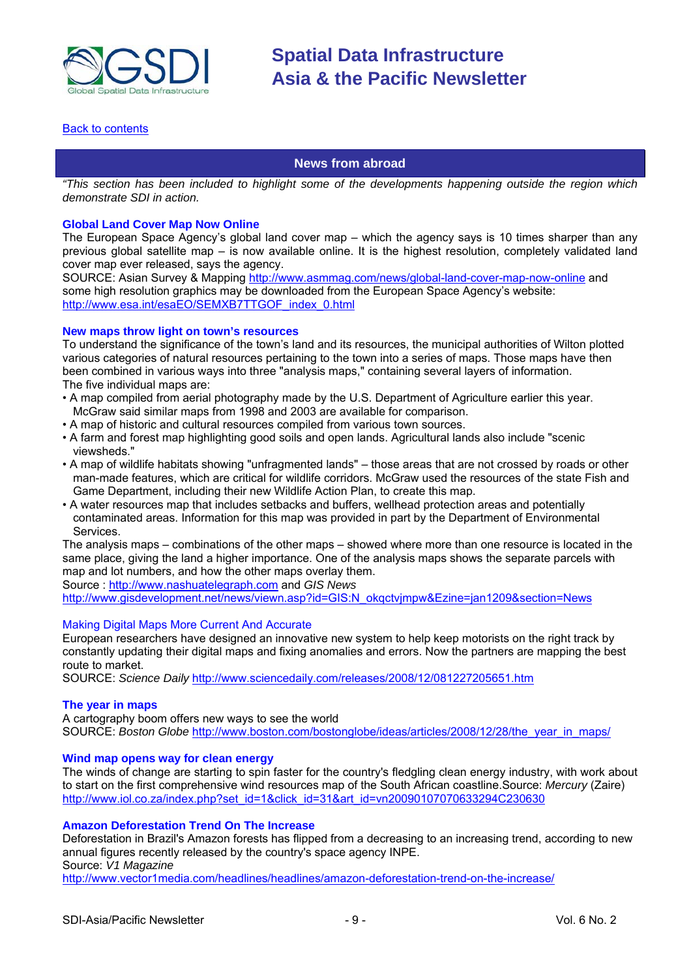<span id="page-8-0"></span>

#### [Back to contents](#page-0-0)

### **News from abroad**

*"This section has been included to highlight some of the developments happening outside the region which demonstrate SDI in action.* 

#### **Global Land Cover Map Now Online**

The European Space Agency's global land cover map – which the agency says is 10 times sharper than any previous global satellite map – is now available online. It is the highest resolution, completely validated land cover map ever released, says the agency.

SOURCE: Asian Survey & Mapping<http://www.asmmag.com/news/global-land-cover-map-now-online> and some high resolution graphics may be downloaded from the European Space Agency's website: [http://www.esa.int/esaEO/SEMXB7TTGOF\\_index\\_0.html](http://www.esa.int/esaEO/SEMXB7TTGOF_index_0.html)

#### **New maps throw light on town's resources**

To understand the significance of the town's land and its resources, the municipal authorities of Wilton plotted various categories of natural resources pertaining to the town into a series of maps. Those maps have then been combined in various ways into three "analysis maps," containing several layers of information. The five individual maps are:

- A map compiled from aerial photography made by the U.S. Department of Agriculture earlier this year. McGraw said similar maps from 1998 and 2003 are available for comparison.
- A map of historic and cultural resources compiled from various town sources.
- A farm and forest map highlighting good soils and open lands. Agricultural lands also include "scenic viewsheds."
- A map of wildlife habitats showing "unfragmented lands" those areas that are not crossed by roads or other man-made features, which are critical for wildlife corridors. McGraw used the resources of the state Fish and Game Department, including their new Wildlife Action Plan, to create this map.
- A water resources map that includes setbacks and buffers, wellhead protection areas and potentially contaminated areas. Information for this map was provided in part by the Department of Environmental **Services**

The analysis maps – combinations of the other maps – showed where more than one resource is located in the same place, giving the land a higher importance. One of the analysis maps shows the separate parcels with map and lot numbers, and how the other maps overlay them.

Source : [http://www.nashuatelegraph.com](http://www.nashuatelegraph.com/apps/pbcs.dll/article?AID=/20090103/NEWS01/301039958/-1/XML15) and *GIS News*

http://www.gisdevelopment.net/news/viewn.asp?id=GIS:N\_okgctvjmpw&Ezine=jan1209&section=News

#### Making Digital Maps More Current And Accurate

European researchers have designed an innovative new system to help keep motorists on the right track by constantly updating their digital maps and fixing anomalies and errors. Now the partners are mapping the best route to market.

SOURCE: *Science Daily* <http://www.sciencedaily.com/releases/2008/12/081227205651.htm>

#### **The year in maps**

A cartography boom offers new ways to see the world SOURCE: *Boston Globe* [http://www.boston.com/bostonglobe/ideas/articles/2008/12/28/the\\_year\\_in\\_maps/](http://www.boston.com/bostonglobe/ideas/articles/2008/12/28/the_year_in_maps/)

#### **Wind map opens way for clean energy**

The winds of change are starting to spin faster for the country's fledgling clean energy industry, with work about to start on the first comprehensive wind resources map of the South African coastline.Source: *Mercury* (Zaire) [http://www.iol.co.za/index.php?set\\_id=1&click\\_id=31&art\\_id=vn20090107070633294C230630](http://www.iol.co.za/index.php?set_id=1&click_id=31&art_id=vn20090107070633294C230630)

#### **Amazon Deforestation Trend On The Increase**

Deforestation in Brazil's Amazon forests has flipped from a decreasing to an increasing trend, according to new annual figures recently released by the country's space agency INPE. Source: *V1 Magazine*

<http://www.vector1media.com/headlines/headlines/amazon-deforestation-trend-on-the-increase/>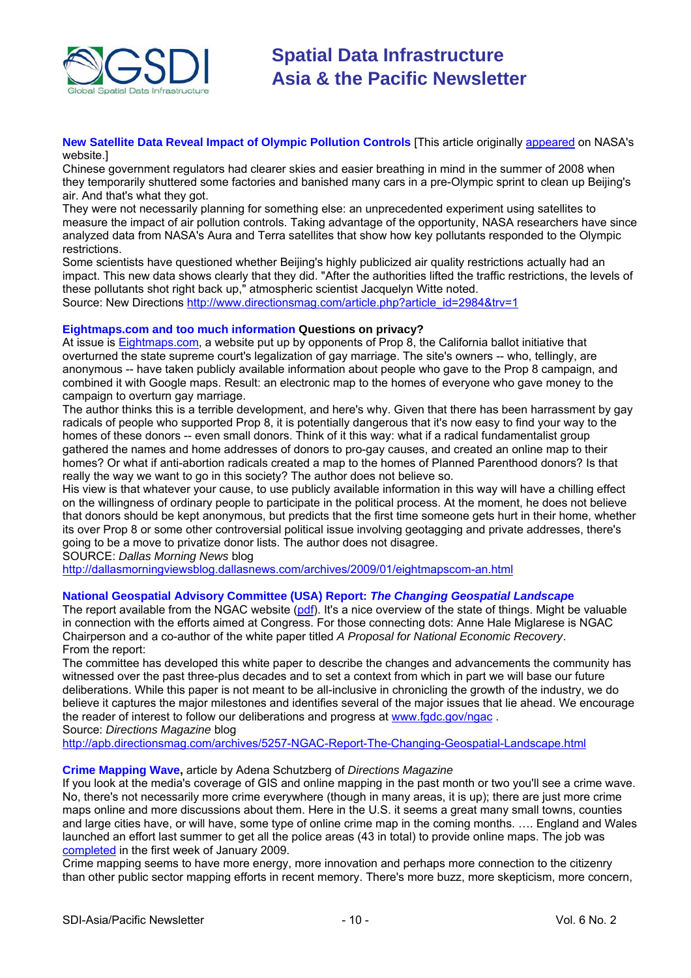

**New Satellite Data Reveal Impact of Olympic Pollution Controls** [This article originally [appeared](http://www.nasa.gov/topics/earth/features/olympic_pollution.html) on NASA's website.]

Chinese government regulators had clearer skies and easier breathing in mind in the summer of 2008 when they temporarily shuttered some factories and banished many cars in a pre-Olympic sprint to clean up Beijing's air. And that's what they got.

They were not necessarily planning for something else: an unprecedented experiment using satellites to measure the impact of air pollution controls. Taking advantage of the opportunity, NASA researchers have since analyzed data from NASA's Aura and Terra satellites that show how key pollutants responded to the Olympic restrictions.

Some scientists have questioned whether Beijing's highly publicized air quality restrictions actually had an impact. This new data shows clearly that they did. "After the authorities lifted the traffic restrictions, the levels of these pollutants shot right back up," atmospheric scientist Jacquelyn Witte noted. Source: New Directions [http://www.directionsmag.com/article.php?article\\_id=2984&trv=1](http://www.directionsmag.com/article.php?article_id=2984&trv=1)

#### **Eightmaps.com and too much information Questions on privacy?**

At issue is [Eightmaps.com](http://www.eightmaps.com/), a website put up by opponents of Prop 8, the California ballot initiative that overturned the state supreme court's legalization of gay marriage. The site's owners -- who, tellingly, are anonymous -- have taken publicly available information about people who gave to the Prop 8 campaign, and combined it with Google maps. Result: an electronic map to the homes of everyone who gave money to the campaign to overturn gay marriage.

The author thinks this is a terrible development, and here's why. Given that there has been harrassment by gay radicals of people who supported Prop 8, it is potentially dangerous that it's now easy to find your way to the homes of these donors -- even small donors. Think of it this way: what if a radical fundamentalist group gathered the names and home addresses of donors to pro-gay causes, and created an online map to their homes? Or what if anti-abortion radicals created a map to the homes of Planned Parenthood donors? Is that really the way we want to go in this society? The author does not believe so.

His view is that whatever your cause, to use publicly available information in this way will have a chilling effect on the willingness of ordinary people to participate in the political process. At the moment, he does not believe that donors should be kept anonymous, but predicts that the first time someone gets hurt in their home, whether its over Prop 8 or some other controversial political issue involving geotagging and private addresses, there's going to be a move to privatize donor lists. The author does not disagree.

SOURCE: *Dallas Morning News* blog

<http://dallasmorningviewsblog.dallasnews.com/archives/2009/01/eightmapscom-an.html>

#### **National Geospatial Advisory Committee (USA) Report:** *The Changing Geospatial Landscap***e**

The report available from the NGAC website [\(pdf](http://www.fgdc.gov/ngac/NGAC Report - The Changing Geospatial Landscape.pdf)). It's a nice overview of the state of things. Might be valuable in connection with the efforts aimed at Congress. For those connecting dots: Anne Hale Miglarese is NGAC Chairperson and a co-author of the white paper titled *A Proposal for National Economic Recovery*. From the report:

The committee has developed this white paper to describe the changes and advancements the community has witnessed over the past three-plus decades and to set a context from which in part we will base our future deliberations. While this paper is not meant to be all-inclusive in chronicling the growth of the industry, we do believe it captures the major milestones and identifies several of the major issues that lie ahead. We encourage the reader of interest to follow our deliberations and progress at [www.fgdc.gov/ngac](http://www.fgdc.gov/ngac) .

Source: *Directions Magazine* blog

<http://apb.directionsmag.com/archives/5257-NGAC-Report-The-Changing-Geospatial-Landscape.html>

#### **Crime Mapping Wave,** article by Adena Schutzberg of *Directions Magazine*

If you look at the media's coverage of GIS and online mapping in the past month or two you'll see a crime wave. No, there's not necessarily more crime everywhere (though in many areas, it is up); there are just more crime maps online and more discussions about them. Here in the U.S. it seems a great many small towns, counties and large cities have, or will have, some type of online crime map in the coming months. …. England and Wales launched an effort last summer to get all the police areas (43 in total) to provide online maps. The job was [completed](http://apb.directionsmag.com/archives/5229-.html) in the first week of January 2009.

Crime mapping seems to have more energy, more innovation and perhaps more connection to the citizenry than other public sector mapping efforts in recent memory. There's more buzz, more skepticism, more concern,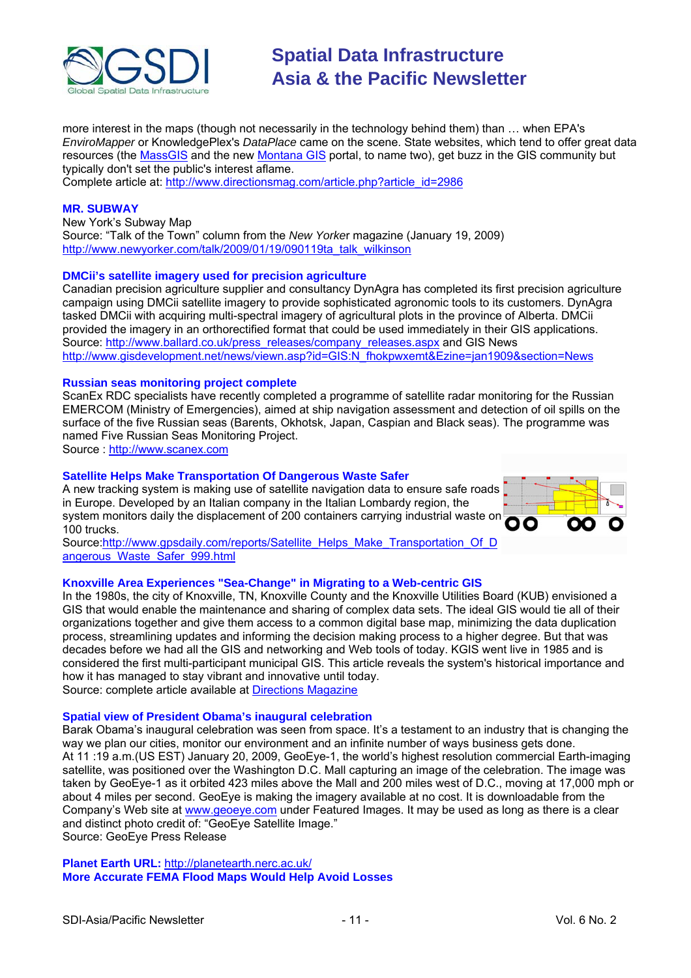

more interest in the maps (though not necessarily in the technology behind them) than … when EPA's *EnviroMapper* or KnowledgePlex's *DataPlace* came on the scene. State websites, which tend to offer great data resources (the [MassGIS](http://www.mass.gov/mgis/) and the new [Montana GIS](http://gisportal.mt.gov/Portal/) portal, to name two), get buzz in the GIS community but typically don't set the public's interest aflame.

Complete article at: [http://www.directionsmag.com/article.php?article\\_id=2986](http://www.directionsmag.com/article.php?article_id=2986)

#### **MR. SUBWAY**

New York's Subway Map Source: "Talk of the Town" column from the *New Yorke*r magazine (January 19, 2009) [http://www.newyorker.com/talk/2009/01/19/090119ta\\_talk\\_wilkinson](http://www.newyorker.com/talk/2009/01/19/090119ta_talk_wilkinson)

#### **DMCii's satellite imagery used for precision agriculture**

Canadian precision agriculture supplier and consultancy DynAgra has completed its first precision agriculture campaign using DMCii satellite imagery to provide sophisticated agronomic tools to its customers. DynAgra tasked DMCii with acquiring multi-spectral imagery of agricultural plots in the province of Alberta. DMCii provided the imagery in an orthorectified format that could be used immediately in their GIS applications. Source: [http://www.ballard.co.uk/press\\_releases/company\\_releases.aspx](http://www.ballard.co.uk/press_releases/company_releases.aspx?lang=English(uk)&story=1327) and GIS News [http://www.gisdevelopment.net/news/viewn.asp?id=GIS:N\\_fhokpwxemt&Ezine=jan1909&section=News](http://www.gisdevelopment.net/news/viewn.asp?id=GIS:N_fhokpwxemt&Ezine=jan1909§ion=News)

#### **Russian seas monitoring project complete**

ScanEx RDC specialists have recently completed a programme of satellite radar monitoring for the Russian EMERCOM (Ministry of Emergencies), aimed at ship navigation assessment and detection of oil spills on the surface of the five Russian seas (Barents, Okhotsk, Japan, Caspian and Black seas). The programme was named Five Russian Seas Monitoring Project.

Source : [http://www.scanex.com](http://www.scanex.com/en/news/News_Preview.asp?id=n16041182)

#### **Satellite Helps Make Transportation Of Dangerous Waste Safer**

A new tracking system is making use of satellite navigation data to ensure safe roads in Europe. Developed by an Italian company in the Italian Lombardy region, the system monitors daily the displacement of 200 containers carrying industrial waste o n 100 trucks.



Source[:http://www.gpsdaily.com/reports/Satellite\\_Helps\\_Make\\_Transportation\\_Of\\_D](http://www.gpsdaily.com/reports/Satellite_Helps_Make_Transportation_Of_Dangerous_Waste_Safer_999.html) [angerous\\_Waste\\_Safer\\_999.html](http://www.gpsdaily.com/reports/Satellite_Helps_Make_Transportation_Of_Dangerous_Waste_Safer_999.html)

#### **Knoxville Area Experiences "Sea-Change" in Migrating to a Web-centric GIS**

In the 1980s, the city of Knoxville, TN, Knoxville County and the Knoxville Utilities Board (KUB) envisioned a GIS that would enable the maintenance and sharing of complex data sets. The ideal GIS would tie all of their organizations together and give them access to a common digital base map, minimizing the data duplication process, streamlining updates and informing the decision making process to a higher degree. But that was decades before we had all the GIS and networking and Web tools of today. KGIS went live in 1985 and is considered the first multi-participant municipal GIS. This article reveals the system's historical importance and how it has managed to stay vibrant and innovative until today.

Source: complete article available at [Directions Magazine](http://www.directionsmag.com/article.php?article_id=2998&trv=1)

### **Spatial view of President Obama's inaugural celebration**

Barak Obama's inaugural celebration was seen from space. It's a testament to an industry that is changing the way we plan our cities, monitor our environment and an infinite number of ways business gets done. At 11 :19 a.m.(US EST) January 20, 2009, GeoEye-1, the world's highest resolution commercial Earth-imaging satellite, was positioned over the Washington D.C. Mall capturing an image of the celebration. The image was taken by GeoEye-1 as it orbited 423 miles above the Mall and 200 miles west of D.C., moving at 17,000 mph or about 4 miles per second. GeoEye is making the imagery available at no cost. It is downloadable from the Company's Web site at [www.geoeye.com](http://www.geoeye.com/) under Featured Images. It may be used as long as there is a clear and distinct photo credit of: "GeoEye Satellite Image." Source: GeoEye Press Release

**Planet Earth URL:** <http://planetearth.nerc.ac.uk/> **More Accurate FEMA Flood Maps Would Help Avoid Losses**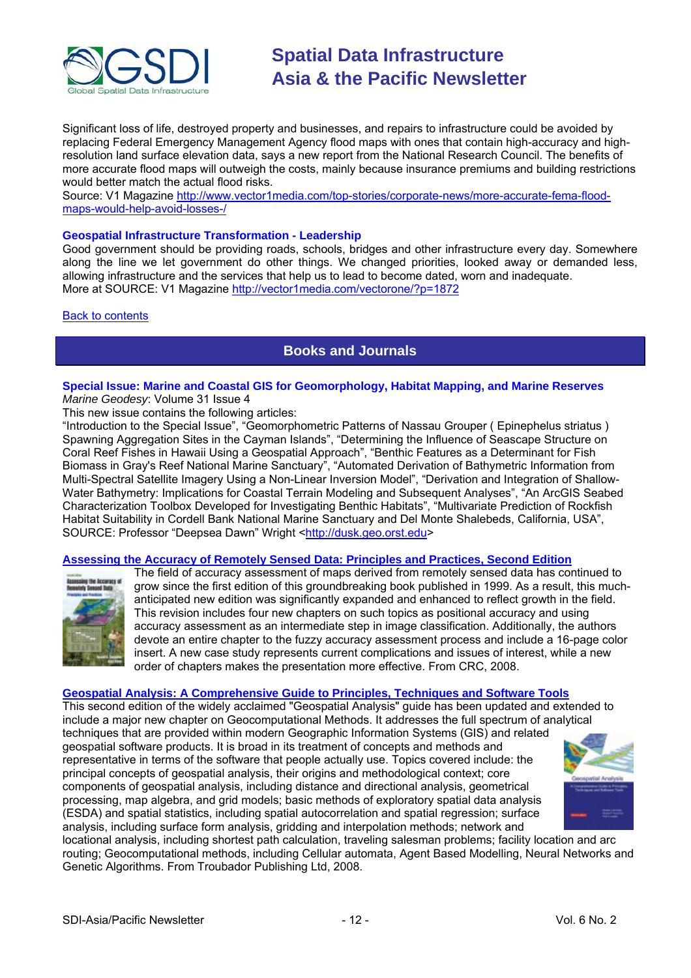<span id="page-11-0"></span>

Significant loss of life, destroyed property and businesses, and repairs to infrastructure could be avoided by replacing Federal Emergency Management Agency flood maps with ones that contain high-accuracy and highresolution land surface elevation data, says a new report from the National Research Council. The benefits of more accurate flood maps will outweigh the costs, mainly because insurance premiums and building restrictions would better match the actual flood risks.

Source: V1 Magazine [http://www.vector1media.com/top-stories/corporate-news/more-accurate-fema-flood](http://www.vector1media.com/top-stories/corporate-news/more-accurate-fema-flood-maps-would-help-avoid-losses-/)[maps-would-help-avoid-losses-/](http://www.vector1media.com/top-stories/corporate-news/more-accurate-fema-flood-maps-would-help-avoid-losses-/)

#### **Geospatial Infrastructure Transformation - Leadership**

Good government should be providing roads, schools, bridges and other infrastructure every day. Somewhere along the line we let government do other things. We changed priorities, looked away or demanded less, allowing infrastructure and the services that help us to lead to become dated, worn and inadequate. More at SOURCE: V1 Magazine<http://vector1media.com/vectorone/?p=1872>

#### Back to [contents](#page-0-0)

### **Books and Journals**

#### **Special Issue: Marine and Coastal GIS for Geomorphology, Habitat Mapping, and Marine Reserves** *Marine Geodesy*: Volume 31 Issue 4

This new issue contains the following articles:

"Introduction to the Special Issue", "Geomorphometric Patterns of Nassau Grouper ( Epinephelus striatus ) Spawning Aggregation Sites in the Cayman Islands", "Determining the Influence of Seascape Structure on Coral Reef Fishes in Hawaii Using a Geospatial Approach", "Benthic Features as a Determinant for Fish Biomass in Gray's Reef National Marine Sanctuary", "Automated Derivation of Bathymetric Information from Multi-Spectral Satellite Imagery Using a Non-Linear Inversion Model", "Derivation and Integration of Shallow-Water Bathymetry: Implications for Coastal Terrain Modeling and Subsequent Analyses", "An ArcGIS Seabed Characterization Toolbox Developed for Investigating Benthic Habitats", "Multivariate Prediction of Rockfish Habitat Suitability in Cordell Bank National Marine Sanctuary and Del Monte Shalebeds, California, USA", SOURCE: Professor "Deepsea Dawn" Wright [<http://dusk.geo.orst.edu>](http://dusk.geo.orst.edu/)

#### **[Assessing the Accuracy of Remotely Sensed Data: Principles and Practices, Second Edition](http://newsletter.directionsmag.com/link.php?M=145624&N=1193&L=23261)**



The field of accuracy assessment of maps derived from remotely sensed data has continued to grow since the first edition of this groundbreaking book published in 1999. As a result, this muchanticipated new edition was significantly expanded and enhanced to reflect growth in the field. This revision includes four new chapters on such topics as positional accuracy and using accuracy assessment as an intermediate step in image classification. Additionally, the authors devote an entire chapter to the fuzzy accuracy assessment process and include a 16-page color insert. A new case study represents current complications and issues of interest, while a new order of chapters makes the presentation more effective. From CRC, 2008.

#### **[Geospatial Analysis: A Comprehensive Guide to Principles, Techniques and Software Tools](http://newsletter.directionsmag.com/link.php?M=145624&N=1193&L=23299)**

This second edition of the widely acclaimed "Geospatial Analysis" guide has been updated and extended to include a major new chapter on Geocomputational Methods. It addresses the full spectrum of analytical techniques that are provided within modern Geographic Information Systems (GIS) and related

geospatial software products. It is broad in its treatment of concepts and methods and representative in terms of the software that people actually use. Topics covered include: the principal concepts of geospatial analysis, their origins and methodological context; core components of geospatial analysis, including distance and directional analysis, geometrical processing, map algebra, and grid models; basic methods of exploratory spatial data analysis (ESDA) and spatial statistics, including spatial autocorrelation and spatial regression; surface analysis, including surface form analysis, gridding and interpolation methods; network and



locational analysis, including shortest path calculation, traveling salesman problems; facility location and arc routing; Geocomputational methods, including Cellular automata, Agent Based Modelling, Neural Networks and Genetic Algorithms. From Troubador Publishing Ltd, 2008.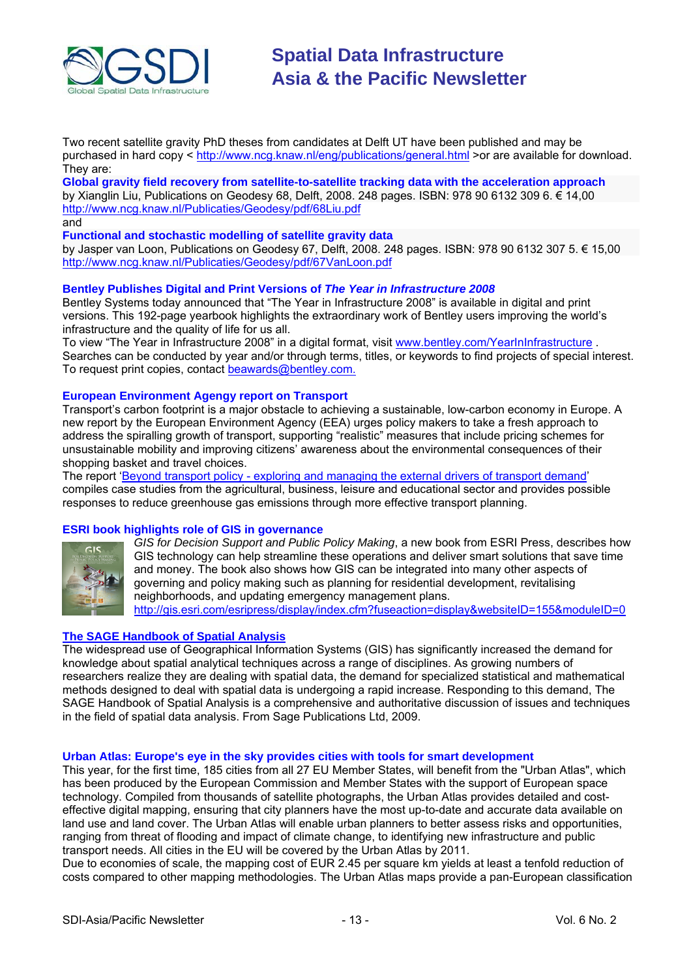

Two recent satellite gravity PhD theses from candidates at Delft UT have been published and may be purchased in hard copy <<http://www.ncg.knaw.nl/eng/publications/general.html> >or are available for download. They are:

**Global gravity field recovery from satellite-to-satellite tracking data with the acceleration approach** by Xianglin Liu, Publications on Geodesy 68, Delft, 2008. 248 pages. ISBN: 978 90 6132 309 6. € 14,00 <http://www.ncg.knaw.nl/Publicaties/Geodesy/pdf/68Liu.pdf> and

**Functional and stochastic modelling of satellite gravity data** 

by Jasper van Loon, Publications on Geodesy 67, Delft, 2008. 248 pages. ISBN: 978 90 6132 307 5. € 15,00 <http://www.ncg.knaw.nl/Publicaties/Geodesy/pdf/67VanLoon.pdf>

#### **Bentley Publishes Digital and Print Versions of** *The Year in Infrastructure 2008*

Bentley Systems today announced that "The Year in Infrastructure 2008" is available in digital and print versions. This 192-page yearbook highlights the extraordinary work of Bentley users improving the world's infrastructure and the quality of life for us all.

To view "The Year in Infrastructure 2008" in a digital format, visit [www.bentley.com/YearInInfrastructure](http://www.bentley.com/YearInInfrastructure) . Searches can be conducted by year and/or through terms, titles, or keywords to find projects of special interest. To request print copies, contact [beawards@bentley.com.](mailto:beawards@bentley.com.)

#### **European Environment Agengy report on Transport**

Transport's carbon footprint is a major obstacle to achieving a sustainable, low-carbon economy in Europe. A new report by the European Environment Agency (EEA) urges policy makers to take a fresh approach to address the spiralling growth of transport, supporting "realistic" measures that include pricing schemes for unsustainable mobility and improving citizens' awareness about the environmental consequences of their shopping basket and travel choices.

The report ['Beyond transport policy - exploring and managing the external drivers of transport demand](http://reports.eea.europa.eu/technical_report_2008_12/en/beyond_transport_policy.pdf)' compiles case studies from the agricultural, business, leisure and educational sector and provides possible responses to reduce greenhouse gas emissions through more effective transport planning.

#### **ESRI book highlights role of GIS in governance**



*GIS for Decision Support and Public Policy Making*, a new book from ESRI Press, describes how GIS technology can help streamline these operations and deliver smart solutions that save time and money. The book also shows how GIS can be integrated into many other aspects of governing and policy making such as planning for residential development, revitalising neighborhoods, and updating emergency management plans. <http://gis.esri.com/esripress/display/index.cfm?fuseaction=display&websiteID=155&moduleID=0>

#### **[The SAGE Handbook of Spatial Analysis](http://www.amazon.com/exec/obidos/ASIN/141291082X/directionsm00-20)**

The widespread use of Geographical Information Systems (GIS) has significantly increased the demand for knowledge about spatial analytical techniques across a range of disciplines. As growing numbers of researchers realize they are dealing with spatial data, the demand for specialized statistical and mathematical methods designed to deal with spatial data is undergoing a rapid increase. Responding to this demand, The SAGE Handbook of Spatial Analysis is a comprehensive and authoritative discussion of issues and techniques in the field of spatial data analysis. From Sage Publications Ltd, 2009.

#### **Urban Atlas: Europe's eye in the sky provides cities with tools for smart development**

This year, for the first time, 185 cities from all 27 EU Member States, will benefit from the "Urban Atlas", which has been produced by the European Commission and Member States with the support of European space technology. Compiled from thousands of satellite photographs, the Urban Atlas provides detailed and costeffective digital mapping, ensuring that city planners have the most up-to-date and accurate data available on land use and land cover. The Urban Atlas will enable urban planners to better assess risks and opportunities, ranging from threat of flooding and impact of climate change, to identifying new infrastructure and public transport needs. All cities in the EU will be covered by the Urban Atlas by 2011.

Due to economies of scale, the mapping cost of EUR 2.45 per square km yields at least a tenfold reduction of costs compared to other mapping methodologies. The Urban Atlas maps provide a pan-European classification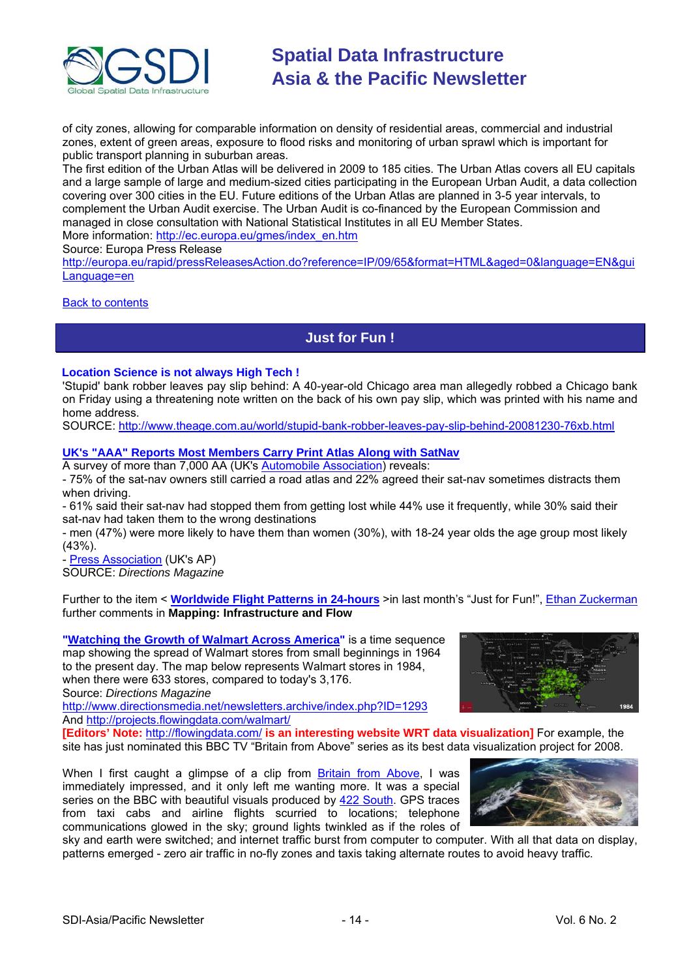<span id="page-13-0"></span>

of city zones, allowing for comparable information on density of residential areas, commercial and industrial zones, extent of green areas, exposure to flood risks and monitoring of urban sprawl which is important for public transport planning in suburban areas.

The first edition of the Urban Atlas will be delivered in 2009 to 185 cities. The Urban Atlas covers all EU capitals and a large sample of large and medium-sized cities participating in the European [Urban Audit,](http://www.urbanaudit.org/index.aspx) a data collection covering over 300 cities in the EU. Future editions of the Urban Atlas are planned in 3-5 year intervals, to complement the Urban Audit exercise. The Urban Audit is co-financed by the European Commission and managed in close consultation with National Statistical Institutes in all EU Member States. More information: [http://ec.europa.eu/gmes/index\\_en.htm](http://ec.europa.eu/gmes/index_en.htm)

Source: Europa Press Release

[http://europa.eu/rapid/pressReleasesAction.do?reference=IP/09/65&format=HTML&aged=0&language=EN&gui](http://europa.eu/rapid/pressReleasesAction.do?reference=IP/09/65&format=HTML&aged=0&language=EN&guiLanguage=en) [Language=en](http://europa.eu/rapid/pressReleasesAction.do?reference=IP/09/65&format=HTML&aged=0&language=EN&guiLanguage=en)

#### Back to [contents](#page-0-0)

**Just for Fun !** 

#### **Location Science is not always High Tech !**

'Stupid' bank robber leaves pay slip behind: A 40-year-old Chicago area man allegedly robbed a Chicago bank on Friday using a threatening note written on the back of his own pay slip, which was printed with his name and home address.

SOURCE:<http://www.theage.com.au/world/stupid-bank-robber-leaves-pay-slip-behind-20081230-76xb.html>

#### **[UK's "AAA" Reports Most Members Carry](http://apb.directionsmag.com/archives/5198-UKs-AAA-Reports-Most-Members-Carry-Print-Atlas-Along-with-SatNav.html) Print Atlas Along with SatNav**

A survey of more than 7,000 AA (UK's [Automobile Association](http://www.theaa.com/travelwatch/planner_main.jsp)) reveals:

- 75% of the sat-nav owners still carried a road atlas and 22% agreed their sat-nav sometimes distracts them when driving.

- 61% said their sat-nav had stopped them from getting lost while 44% use it frequently, while 30% said their sat-nav had taken them to the wrong destinations

- men (47%) were more likely to have them than women (30%), with 18-24 year olds the age group most likely (43%).

- [Press Association](http://www.google.com/hostednews/ukpress/article/ALeqM5haeuIJhtCQMrKBxPOfI3r_Ou8jgQ) (UK's AP) SOURCE: *Directions Magazine*

Further to the item < **[Worldwide Flight Patterns in 24-hours](http://apb.directionsmag.com/archives/5145-Worldwide-Flight-Patterns-in-24-hours.html)** >in last month's "Just for Fun!", [Ethan Zuckerman](http://www.worldchanging.com/archives/009260.html) further comments in **Mapping: Infrastructure and Flow**

**"[Watching the Growth of Walmart Across America"](http://newsletter.directionsmag.com/link.php?M=145624&N=1214&L=23415)** is a time sequence map showing the spread of Walmart stores from small beginnings in 1964 to the present day. The map below represents Walmart stores in 1984, when there were 633 stores, compared to today's 3,176. Source: *Directions Magazine*

[http://www.directionsmedia.net/newsletters.archive/index.php?ID=1293](http://newsletter.directionsmag.com/link.php?M=145624&N=1214&L=23402) And<http://projects.flowingdata.com/walmart/>



**[Editors' Note:** <http://flowingdata.com/> **is an interesting website WRT data visualization]** For example, the site has just nominated this BBC TV "Britain from Above" series as its best data visualization project for 2008.

When I first caught a glimpse of a clip from [Britain from Above](http://flowingdata.com/2008/08/11/britain-from-above-beautiful-use-of-satellite-technology/), I was immediately impressed, and it only left me wanting more. It was a special series on the BBC with beautiful visuals produced by [422 South.](http://www.422.com/) GPS traces from taxi cabs and airline flights scurried to locations; telephone communications glowed in the sky; ground lights twinkled as if the roles of



sky and earth were switched; and internet traffic burst from computer to computer. With all that data on display, patterns emerged - zero air traffic in no-fly zones and taxis taking alternate routes to avoid heavy traffic.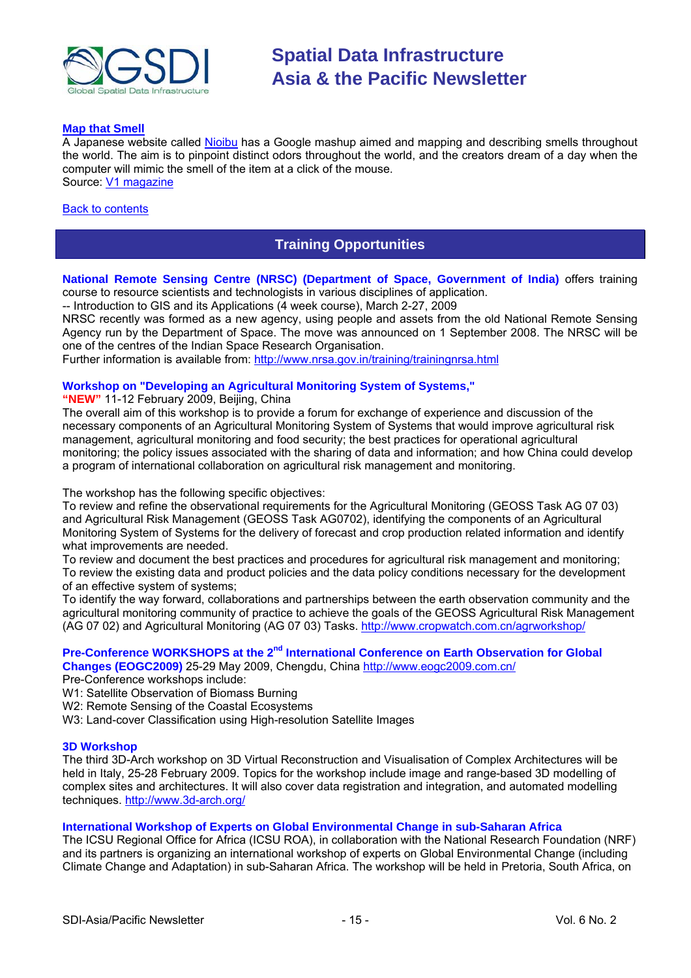<span id="page-14-0"></span>

#### **[Map that Smell](http://vector1media.com/spatialsustain/?p=1919)**

A Japanese website called [Nioibu](http://www.nioibu.com/) has a Google mashup aimed and mapping and describing smells throughout the world. The aim is to pinpoint distinct odors throughout the world, and the creators dream of a day when the computer will mimic the smell of the item at a click of the mouse. Source: [V1 magazine](http://vector1media.com/spatialsustain/?p=1919)

#### **[Back to contents](#page-0-0)**

### **Training Opportunities**

**National Remote Sensing Centre (NRSC) (Department of Space, Government of India)** offers training course to resource scientists and technologists in various disciplines of application.

-- Introduction to GIS and its Applications (4 week course), March 2-27, 2009

NRSC recently was formed as a new agency, using people and assets from the old National Remote Sensing Agency run by the Department of Space. The move was announced on 1 September 2008. The NRSC will be one of the centres of the Indian Space Research Organisation.

Further information is available from:<http://www.nrsa.gov.in/training/trainingnrsa.html>

#### **Workshop on "Developing an Agricultural Monitoring System of Systems,"**

**"NEW"** 11-12 February 2009, Beijing, China

The overall aim of this workshop is to provide a forum for exchange of experience and discussion of the necessary components of an Agricultural Monitoring System of Systems that would improve agricultural risk management, agricultural monitoring and food security; the best practices for operational agricultural monitoring; the policy issues associated with the sharing of data and information; and how China could develop a program of international collaboration on agricultural risk management and monitoring.

The workshop has the following specific objectives:

To review and refine the observational requirements for the Agricultural Monitoring (GEOSS Task AG 07 03) and Agricultural Risk Management (GEOSS Task AG0702), identifying the components of an Agricultural Monitoring System of Systems for the delivery of forecast and crop production related information and identify what improvements are needed.

To review and document the best practices and procedures for agricultural risk management and monitoring; To review the existing data and product policies and the data policy conditions necessary for the development of an effective system of systems;

To identify the way forward, collaborations and partnerships between the earth observation community and the agricultural monitoring community of practice to achieve the goals of the GEOSS Agricultural Risk Management (AG 07 02) and Agricultural Monitoring (AG 07 03) Tasks.<http://www.cropwatch.com.cn/agrworkshop/>

## Pre-Conference WORKSHOPS at the 2<sup>nd</sup> International Conference on Earth Observation for Global

**Changes (EOGC2009)** 25-29 May 2009, Chengdu, China <http://www.eogc2009.com.cn/>

- Pre-Conference workshops include:
- W1: Satellite Observation of Biomass Burning
- W<sub>2</sub>: Remote Sensing of the Coastal Ecosystems
- W3: Land-cover Classification using High-resolution Satellite Images

#### **3D Workshop**

The third 3D-Arch workshop on 3D Virtual Reconstruction and Visualisation of Complex Architectures will be held in Italy, 25-28 February 2009. Topics for the workshop include image and range-based 3D modelling of complex sites and architectures. It will also cover data registration and integration, and automated modelling techniques. <http://www.3d-arch.org/>

#### **International Workshop of Experts on Global Environmental Change in sub-Saharan Africa**

The ICSU Regional Office for Africa (ICSU ROA), in collaboration with the National Research Foundation (NRF) and its partners is organizing an international workshop of experts on Global Environmental Change (including Climate Change and Adaptation) in sub-Saharan Africa. The workshop will be held in Pretoria, South Africa, on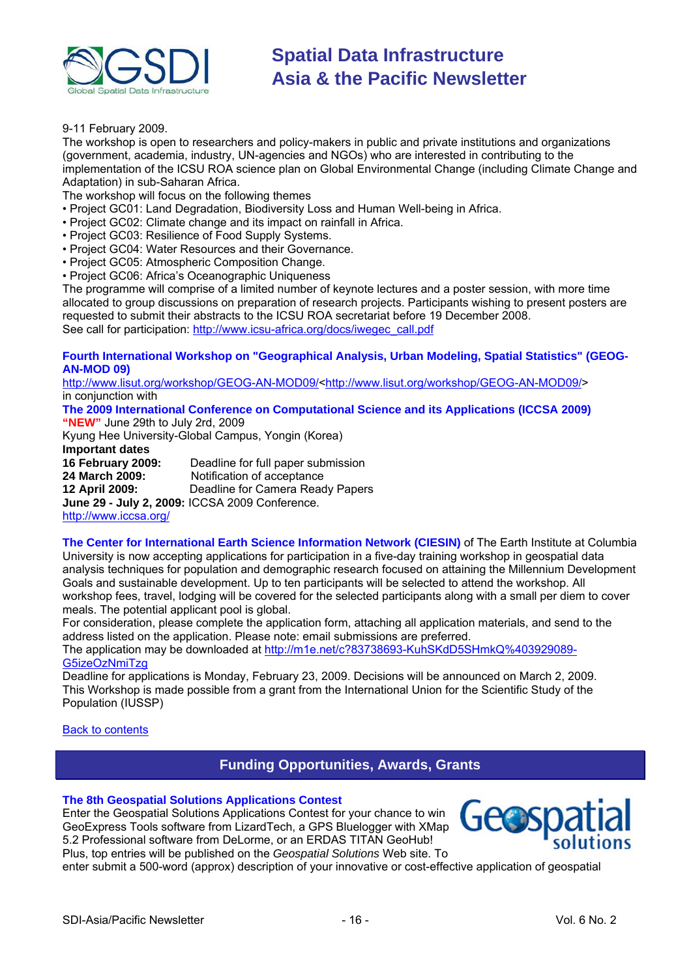<span id="page-15-0"></span>

9-11 February 2009.

The workshop is open to researchers and policy-makers in public and private institutions and organizations (government, academia, industry, UN-agencies and NGOs) who are interested in contributing to the implementation of the ICSU ROA science plan on Global Environmental Change (including Climate Change and Adaptation) in sub-Saharan Africa.

The workshop will focus on the following themes

- Project GC01: Land Degradation, Biodiversity Loss and Human Well-being in Africa.
- Project GC02: Climate change and its impact on rainfall in Africa.
- Project GC03: Resilience of Food Supply Systems.
- Project GC04: Water Resources and their Governance.
- Project GC05: Atmospheric Composition Change.
- Project GC06: Africa's Oceanographic Uniqueness

The programme will comprise of a limited number of keynote lectures and a poster session, with more time allocated to group discussions on preparation of research projects. Participants wishing to present posters are requested to submit their abstracts to the ICSU ROA secretariat before 19 December 2008. See call for participation: [http://www.icsu-africa.org/docs/iwegec\\_call.pdf](http://www.icsu-africa.org/docs/iwegec_call.pdf)

#### **Fourth International Workshop on "Geographical Analysis, Urban Modeling, Spatial Statistics" (GEOG-AN-MOD 09)**

[http://www.lisut.org/workshop/GEOG-AN-MOD09/<http://www.lisut.org/workshop/GEOG-AN-MOD09/>](http://www.lisut.org/workshop/GEOG-AN-MOD09/) in conjunction with

**The 2009 International Conference on Computational Science and its Applications (ICCSA 2009) "NEW"** June 29th to July 2rd, 2009

Kyung Hee University-Global Campus, Yongin (Korea)

**Important dates** 

**16 February 2009:** Deadline for full paper submission **24 March 2009:** Notification of acceptance **12 April 2009:** Deadline for Camera Ready Papers **June 29 - July 2, 2009:** ICCSA 2009 Conference. <http://www.iccsa.org/>

**The Center for International Earth Science Information Network (CIESIN)** of The Earth Institute at Columbia University is now accepting applications for participation in a five-day training workshop in geospatial data analysis techniques for population and demographic research focused on attaining the Millennium Development Goals and sustainable development. Up to ten participants will be selected to attend the workshop. All workshop fees, travel, lodging will be covered for the selected participants along with a small per diem to cover meals. The potential applicant pool is global.

For consideration, please complete the application form, attaching all application materials, and send to the address listed on the application. Please note: email submissions are preferred.

The application may be downloaded at [http://m1e.net/c?83738693-KuhSKdD5SHmkQ%403929089-](http://m1e.net/c?83738693-KuhSKdD5SHmkQ%25403929089-G5izeOzNmiTzg) [G5izeOzNmiTzg](http://m1e.net/c?83738693-KuhSKdD5SHmkQ%25403929089-G5izeOzNmiTzg)

Deadline for applications is Monday, February 23, 2009. Decisions will be announced on March 2, 2009. This Workshop is made possible from a grant from the International Union for the Scientific Study of the Population (IUSSP)

Back to [contents](#page-0-0)

### **Funding Opportunities, Awards, Grants**

#### **[The 8th Geospatial Solutions Applications Contest](http://www.geospatial-solutions.com/applicationsContest)**

Enter the Geospatial Solutions Applications Contest for your chance to win GeoExpress Tools software from LizardTech, a GPS Bluelogger with X Map 5.2 Professional software from DeLorme, or an ERDAS TITAN GeoHub! Plus, top entries will be published on the *Geospatial Solutions* Web site. To



enter submit a 500-word (approx) description of your innovative or cost-effective application of geospatial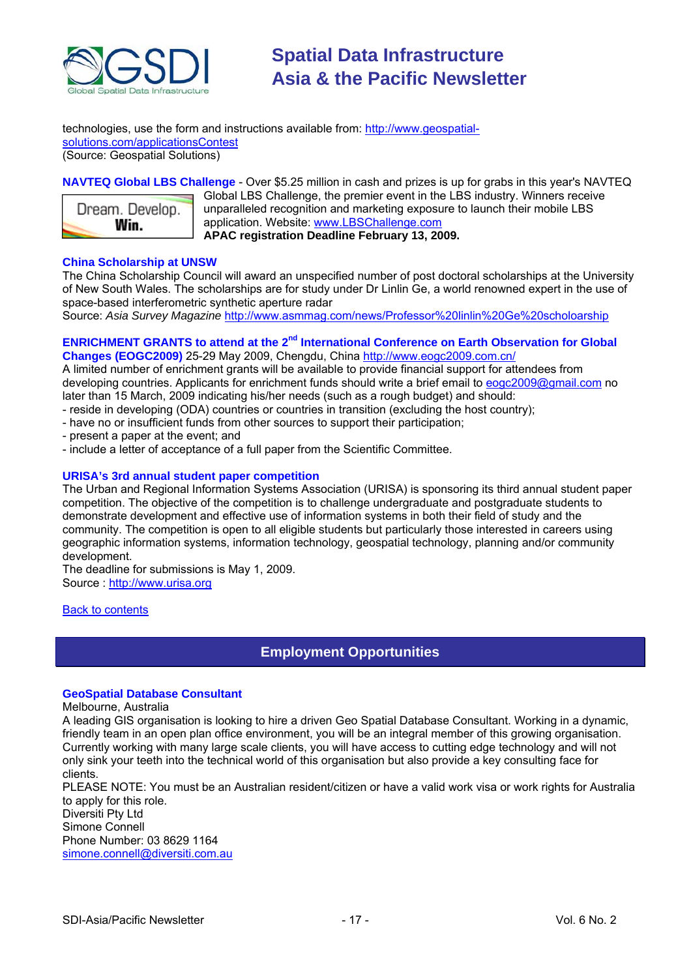<span id="page-16-1"></span><span id="page-16-0"></span>

technologies, use the form and instructions available from: [http://www.geospatial](http://www.geospatial-solutions.com/applicationsContest)[solutions.com/applicationsContest](http://www.geospatial-solutions.com/applicationsContest) (Source: Geospatial Solutions)

#### **NAVTEQ Global LBS Challenge** - Over \$5.25 million in cash and prizes is up for grabs in this year's NAVTEQ



Global LBS Challenge, the premier event in the LBS industry. Winners receive unparalleled recognition and marketing exposure to launch their mobile LBS application. Website: [www.LBSChallenge.com](http://newsletter.directionsmag.com/link.php?M=145624&N=989&L=22183) **APAC registration Deadline February 13, 2009.**

#### **China Scholarship at UNSW**

The China Scholarship Council will award an unspecified number of post doctoral scholarships at the University of New South Wales. The scholarships are for study under Dr Linlin Ge, a world renowned expert in the use of space-based interferometric synthetic aperture radar

Source: *Asia Survey Magazine* [http://www.asmmag.com/news/Professor%20linlin%20Ge%20scholoarship](http://www.asmmag.com/news/Professor%2520linlin%2520Ge%2520scholoarship)

#### **ENRICHMENT GRANTS to attend at the 2<sup>nd</sup> International Conference on Earth Observation for Global Changes (EOGC2009)** 25-29 May 2009, Chengdu, China <http://www.eogc2009.com.cn/>

A limited number of enrichment grants will be available to provide financial support for attendees from developing countries. Applicants for enrichment funds should write a brief email to [eogc2009@gmail.com](mailto:eogc2009@gmail.com) no later than 15 March, 2009 indicating his/her needs (such as a rough budget) and should:

- reside in developing (ODA) countries or countries in transition (excluding the host country);
- have no or insufficient funds from other sources to support their participation;
- present a paper at the event; and
- include a letter of acceptance of a full paper from the Scientific Committee.

#### **URISA's 3rd annual student paper competition**

The Urban and Regional Information Systems Association (URISA) is sponsoring its third annual student paper competition. The objective of the competition is to challenge undergraduate and postgraduate students to demonstrate development and effective use of information systems in both their field of study and the community. The competition is open to all eligible students but particularly those interested in careers using geographic information systems, information technology, geospatial technology, planning and/or community development.

The deadline for submissions is May 1, 2009. Source : [http://www.urisa.org](http://www.urisa.org/node/1190)

#### Back to [contents](#page-0-0)

### **Employment Opportunities**

#### **GeoSpatial Database Consultant**

#### Melbourne, Australia

A leading GIS organisation is looking to hire a driven Geo Spatial Database Consultant. Working in a dynamic, friendly team in an open plan office environment, you will be an integral member of this growing organisation. Currently working with many large scale clients, you will have access to cutting edge technology and will not only sink your teeth into the technical world of this organisation but also provide a key consulting face for clients.

PLEASE NOTE: You must be an Australian resident/citizen or have a valid work visa or work rights for Australia to apply for this role.

Diversiti Pty Ltd Simone Connell Phone Number: 03 8629 1164 [simone.connell@diversiti.com.au](mailto:simone.connell@diversiti.com.au)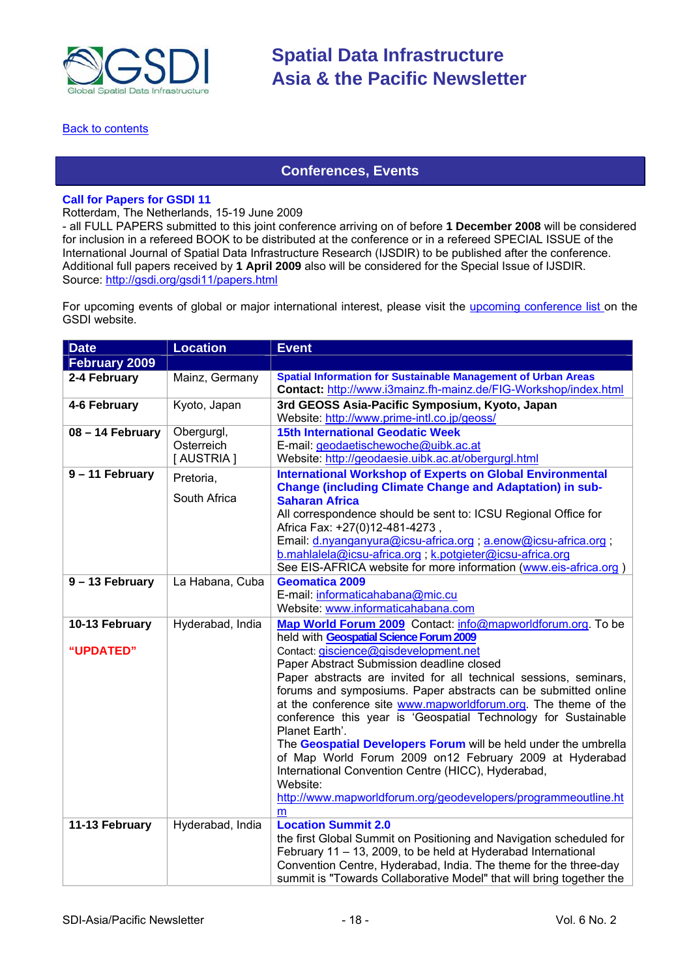<span id="page-17-0"></span>

#### **[Back to contents](#page-0-0)**

### **Conferences, Events**

#### **Call for Papers for GSDI 11**

Rotterdam, The Netherlands, 15-19 June 2009

- all FULL PAPERS submitted to this joint conference arriving on of before **1 December 2008** will be considered for inclusion in a refereed BOOK to be distributed at the conference or in a refereed SPECIAL ISSUE of the International Journal of Spatial Data Infrastructure Research (IJSDIR) to be published after the conference. Additional full papers received by **1 April 2009** also will be considered for the Special Issue of IJSDIR. Source:<http://gsdi.org/gsdi11/papers.html>

For upcoming events of global or major international interest, please visit the [upcoming conference list](http://gsdi.org/events/upcnf.asp) on the GSDI website.

| <b>Date</b>                 | <b>Location</b>                       | <b>Event</b>                                                                                                                                                                                                                                                                                                                                                                                                                                                                                                                                                                                                                                                                                                                                                      |
|-----------------------------|---------------------------------------|-------------------------------------------------------------------------------------------------------------------------------------------------------------------------------------------------------------------------------------------------------------------------------------------------------------------------------------------------------------------------------------------------------------------------------------------------------------------------------------------------------------------------------------------------------------------------------------------------------------------------------------------------------------------------------------------------------------------------------------------------------------------|
| February 2009               |                                       |                                                                                                                                                                                                                                                                                                                                                                                                                                                                                                                                                                                                                                                                                                                                                                   |
| 2-4 February                | Mainz, Germany                        | <b>Spatial Information for Sustainable Management of Urban Areas</b><br>Contact: http://www.i3mainz.fh-mainz.de/FIG-Workshop/index.html                                                                                                                                                                                                                                                                                                                                                                                                                                                                                                                                                                                                                           |
| 4-6 February                | Kyoto, Japan                          | 3rd GEOSS Asia-Pacific Symposium, Kyoto, Japan<br>Website: http://www.prime-intl.co.jp/geoss/                                                                                                                                                                                                                                                                                                                                                                                                                                                                                                                                                                                                                                                                     |
| 08 - 14 February            | Obergurgl,<br>Osterreich<br>[AUSTRIA] | <b>15th International Geodatic Week</b><br>E-mail: geodaetischewoche@uibk.ac.at<br>Website: http://geodaesie.uibk.ac.at/obergurgl.html                                                                                                                                                                                                                                                                                                                                                                                                                                                                                                                                                                                                                            |
| 9 - 11 February             | Pretoria,<br>South Africa             | <b>International Workshop of Experts on Global Environmental</b><br><b>Change (including Climate Change and Adaptation) in sub-</b><br><b>Saharan Africa</b><br>All correspondence should be sent to: ICSU Regional Office for<br>Africa Fax: +27(0)12-481-4273,<br>Email: d.nyanganyura@icsu-africa.org; a.enow@icsu-africa.org;<br>b.mahlalela@icsu-africa.org; k.potgieter@icsu-africa.org<br>See EIS-AFRICA website for more information (www.eis-africa.org)                                                                                                                                                                                                                                                                                                 |
| 9 - 13 February             | La Habana, Cuba                       | <b>Geomatica 2009</b><br>E-mail: informaticahabana@mic.cu<br>Website: www.informaticahabana.com                                                                                                                                                                                                                                                                                                                                                                                                                                                                                                                                                                                                                                                                   |
| 10-13 February<br>"UPDATED" | Hyderabad, India                      | Map World Forum 2009 Contact: info@mapworldforum.org. To be<br>held with Geospatial Science Forum 2009<br>Contact: giscience@gisdevelopment.net<br>Paper Abstract Submission deadline closed<br>Paper abstracts are invited for all technical sessions, seminars,<br>forums and symposiums. Paper abstracts can be submitted online<br>at the conference site www.mapworldforum.org. The theme of the<br>conference this year is 'Geospatial Technology for Sustainable<br>Planet Earth'.<br>The Geospatial Developers Forum will be held under the umbrella<br>of Map World Forum 2009 on 12 February 2009 at Hyderabad<br>International Convention Centre (HICC), Hyderabad,<br>Website:<br>http://www.mapworldforum.org/geodevelopers/programmeoutline.ht<br>m |
| 11-13 February              | Hyderabad, India                      | <b>Location Summit 2.0</b><br>the first Global Summit on Positioning and Navigation scheduled for<br>February 11 - 13, 2009, to be held at Hyderabad International<br>Convention Centre, Hyderabad, India. The theme for the three-day<br>summit is "Towards Collaborative Model" that will bring together the                                                                                                                                                                                                                                                                                                                                                                                                                                                    |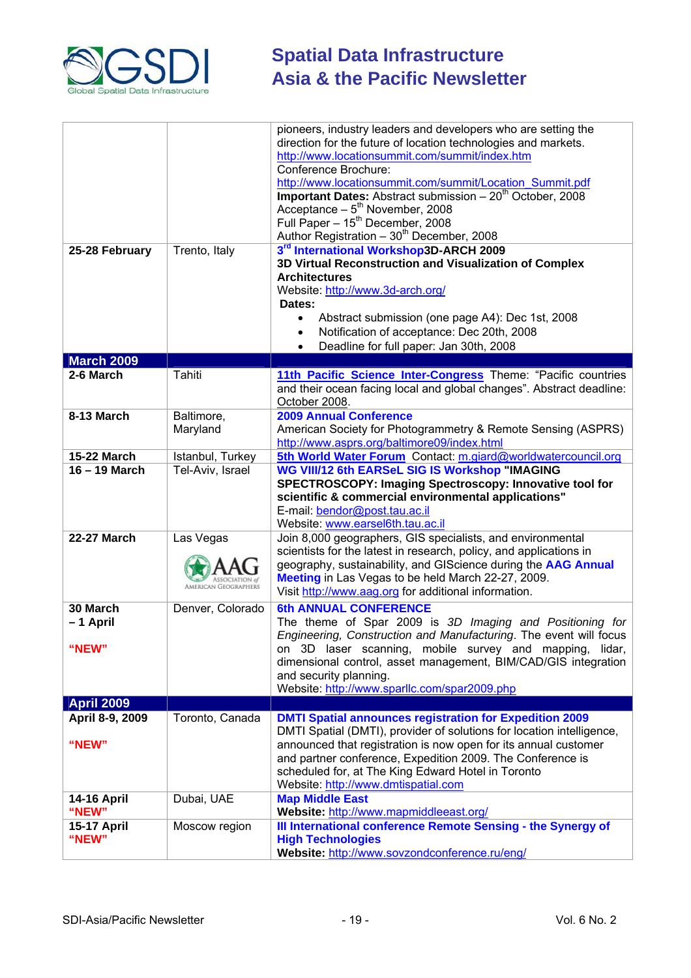

| 25-28 February              | Trento, Italy          | pioneers, industry leaders and developers who are setting the<br>direction for the future of location technologies and markets.<br>http://www.locationsummit.com/summit/index.htm<br>Conference Brochure:<br>http://www.locationsummit.com/summit/Location Summit.pdf<br><b>Important Dates:</b> Abstract submission $-20^{th}$ October, 2008<br>Acceptance – $5^{th}_{th}$ November, 2008<br>Full Paper - 15 <sup>th</sup> December, 2008<br>Author Registration $-30^{th}$ December, 2008<br>3rd International Workshop3D-ARCH 2009<br>3D Virtual Reconstruction and Visualization of Complex<br><b>Architectures</b><br>Website: http://www.3d-arch.org/<br>Dates:<br>Abstract submission (one page A4): Dec 1st, 2008<br>$\bullet$<br>Notification of acceptance: Dec 20th, 2008<br>$\bullet$ |
|-----------------------------|------------------------|---------------------------------------------------------------------------------------------------------------------------------------------------------------------------------------------------------------------------------------------------------------------------------------------------------------------------------------------------------------------------------------------------------------------------------------------------------------------------------------------------------------------------------------------------------------------------------------------------------------------------------------------------------------------------------------------------------------------------------------------------------------------------------------------------|
|                             |                        | Deadline for full paper: Jan 30th, 2008<br>$\bullet$                                                                                                                                                                                                                                                                                                                                                                                                                                                                                                                                                                                                                                                                                                                                              |
| <b>March 2009</b>           |                        |                                                                                                                                                                                                                                                                                                                                                                                                                                                                                                                                                                                                                                                                                                                                                                                                   |
| 2-6 March                   | Tahiti                 | 11th Pacific Science Inter-Congress Theme: "Pacific countries<br>and their ocean facing local and global changes". Abstract deadline:<br>October 2008.                                                                                                                                                                                                                                                                                                                                                                                                                                                                                                                                                                                                                                            |
| 8-13 March                  | Baltimore,<br>Maryland | <b>2009 Annual Conference</b><br>American Society for Photogrammetry & Remote Sensing (ASPRS)<br>http://www.asprs.org/baltimore09/index.html                                                                                                                                                                                                                                                                                                                                                                                                                                                                                                                                                                                                                                                      |
| <b>15-22 March</b>          | Istanbul, Turkey       | 5th World Water Forum Contact: m.giard@worldwatercouncil.org                                                                                                                                                                                                                                                                                                                                                                                                                                                                                                                                                                                                                                                                                                                                      |
| 16 - 19 March               | Tel-Aviv, Israel       | WG VIII/12 6th EARSeL SIG IS Workshop "IMAGING<br>SPECTROSCOPY: Imaging Spectroscopy: Innovative tool for<br>scientific & commercial environmental applications"<br>E-mail: bendor@post.tau.ac.il<br>Website: www.earsel6th.tau.ac.il                                                                                                                                                                                                                                                                                                                                                                                                                                                                                                                                                             |
| <b>22-27 March</b>          | Las Vegas              | Join 8,000 geographers, GIS specialists, and environmental<br>scientists for the latest in research, policy, and applications in<br>geography, sustainability, and GIScience during the AAG Annual<br>Meeting in Las Vegas to be held March 22-27, 2009.<br>Visit http://www.aag.org for additional information.                                                                                                                                                                                                                                                                                                                                                                                                                                                                                  |
| 30 March                    | Denver, Colorado       | <b>6th ANNUAL CONFERENCE</b>                                                                                                                                                                                                                                                                                                                                                                                                                                                                                                                                                                                                                                                                                                                                                                      |
| -1 April                    |                        | The theme of Spar 2009 is 3D Imaging and Positioning for<br>Engineering, Construction and Manufacturing. The event will focus                                                                                                                                                                                                                                                                                                                                                                                                                                                                                                                                                                                                                                                                     |
| "NEW"                       |                        | on 3D laser scanning, mobile survey and mapping, lidar,<br>dimensional control, asset management, BIM/CAD/GIS integration<br>and security planning.<br>Website: http://www.sparllc.com/spar2009.php                                                                                                                                                                                                                                                                                                                                                                                                                                                                                                                                                                                               |
| <b>April 2009</b>           |                        |                                                                                                                                                                                                                                                                                                                                                                                                                                                                                                                                                                                                                                                                                                                                                                                                   |
| April 8-9, 2009             | Toronto, Canada        | <b>DMTI Spatial announces registration for Expedition 2009</b>                                                                                                                                                                                                                                                                                                                                                                                                                                                                                                                                                                                                                                                                                                                                    |
| "NEW"                       |                        | DMTI Spatial (DMTI), provider of solutions for location intelligence,<br>announced that registration is now open for its annual customer<br>and partner conference, Expedition 2009. The Conference is<br>scheduled for, at The King Edward Hotel in Toronto<br>Website: http://www.dmtispatial.com                                                                                                                                                                                                                                                                                                                                                                                                                                                                                               |
| <b>14-16 April</b><br>"NEW" | Dubai, UAE             | <b>Map Middle East</b><br>Website: http://www.mapmiddleeast.org/                                                                                                                                                                                                                                                                                                                                                                                                                                                                                                                                                                                                                                                                                                                                  |
| <b>15-17 April</b>          | Moscow region          | III International conference Remote Sensing - the Synergy of                                                                                                                                                                                                                                                                                                                                                                                                                                                                                                                                                                                                                                                                                                                                      |
| "NEW"                       |                        | <b>High Technologies</b><br>Website: http://www.sovzondconference.ru/eng/                                                                                                                                                                                                                                                                                                                                                                                                                                                                                                                                                                                                                                                                                                                         |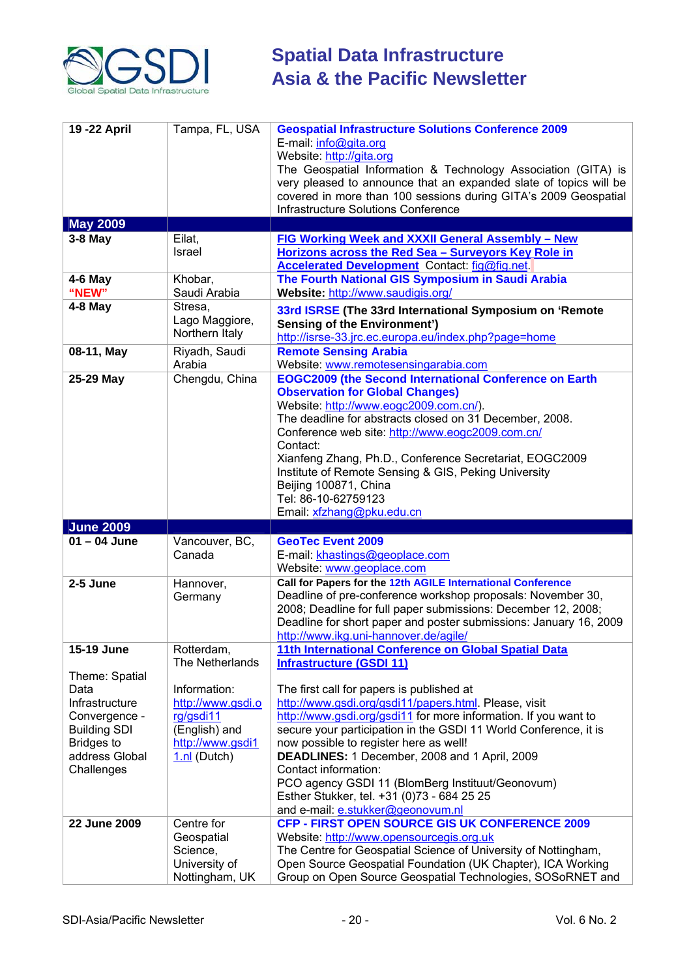

| 19 - 22 April          | Tampa, FL, USA            | <b>Geospatial Infrastructure Solutions Conference 2009</b><br>E-mail: info@gita.org<br>Website: http://gita.org<br>The Geospatial Information & Technology Association (GITA) is<br>very pleased to announce that an expanded slate of topics will be<br>covered in more than 100 sessions during GITA's 2009 Geospatial<br>Infrastructure Solutions Conference |
|------------------------|---------------------------|-----------------------------------------------------------------------------------------------------------------------------------------------------------------------------------------------------------------------------------------------------------------------------------------------------------------------------------------------------------------|
| <b>May 2009</b>        |                           |                                                                                                                                                                                                                                                                                                                                                                 |
| $3-8$ May              | Eilat,                    | FIG Working Week and XXXII General Assembly - New                                                                                                                                                                                                                                                                                                               |
|                        | Israel                    | Horizons across the Red Sea - Surveyors Key Role in                                                                                                                                                                                                                                                                                                             |
|                        |                           | <b>Accelerated Development</b> Contact: fig@fig.net.                                                                                                                                                                                                                                                                                                            |
| $4-6$ May<br>"NEW"     | Khobar,<br>Saudi Arabia   | The Fourth National GIS Symposium in Saudi Arabia<br>Website: http://www.saudigis.org/                                                                                                                                                                                                                                                                          |
| $4-8$ May              | Stresa,                   |                                                                                                                                                                                                                                                                                                                                                                 |
|                        | Lago Maggiore,            | 33rd ISRSE (The 33rd International Symposium on 'Remote                                                                                                                                                                                                                                                                                                         |
|                        | Northern Italy            | <b>Sensing of the Environment')</b><br>http://isrse-33.jrc.ec.europa.eu/index.php?page=home                                                                                                                                                                                                                                                                     |
| 08-11, May             | Riyadh, Saudi             | <b>Remote Sensing Arabia</b>                                                                                                                                                                                                                                                                                                                                    |
|                        | Arabia                    | Website: www.remotesensingarabia.com                                                                                                                                                                                                                                                                                                                            |
| 25-29 May              | Chengdu, China            | <b>EOGC2009 (the Second International Conference on Earth</b>                                                                                                                                                                                                                                                                                                   |
|                        |                           | <b>Observation for Global Changes)</b>                                                                                                                                                                                                                                                                                                                          |
|                        |                           | Website: http://www.eogc2009.com.cn/).                                                                                                                                                                                                                                                                                                                          |
|                        |                           | The deadline for abstracts closed on 31 December, 2008.                                                                                                                                                                                                                                                                                                         |
|                        |                           | Conference web site: http://www.eogc2009.com.cn/                                                                                                                                                                                                                                                                                                                |
|                        |                           | Contact:                                                                                                                                                                                                                                                                                                                                                        |
|                        |                           | Xianfeng Zhang, Ph.D., Conference Secretariat, EOGC2009                                                                                                                                                                                                                                                                                                         |
|                        |                           | Institute of Remote Sensing & GIS, Peking University                                                                                                                                                                                                                                                                                                            |
|                        |                           | Beijing 100871, China                                                                                                                                                                                                                                                                                                                                           |
|                        |                           | Tel: 86-10-62759123                                                                                                                                                                                                                                                                                                                                             |
|                        |                           | Email: xfzhang@pku.edu.cn                                                                                                                                                                                                                                                                                                                                       |
| <b>June 2009</b>       |                           |                                                                                                                                                                                                                                                                                                                                                                 |
| $01 - 04$ June         |                           | <b>GeoTec Event 2009</b>                                                                                                                                                                                                                                                                                                                                        |
|                        | Vancouver, BC,            |                                                                                                                                                                                                                                                                                                                                                                 |
|                        | Canada                    | E-mail: khastings@geoplace.com                                                                                                                                                                                                                                                                                                                                  |
|                        |                           | Website: www.geoplace.com                                                                                                                                                                                                                                                                                                                                       |
| 2-5 June               | Hannover,                 | Call for Papers for the 12th AGILE International Conference                                                                                                                                                                                                                                                                                                     |
|                        | Germany                   | Deadline of pre-conference workshop proposals: November 30,                                                                                                                                                                                                                                                                                                     |
|                        |                           | 2008; Deadline for full paper submissions: December 12, 2008;                                                                                                                                                                                                                                                                                                   |
|                        |                           | Deadline for short paper and poster submissions: January 16, 2009                                                                                                                                                                                                                                                                                               |
|                        |                           | http://www.ikg.uni-hannover.de/agile/                                                                                                                                                                                                                                                                                                                           |
| 15-19 June             | Rotterdam,                | 11th International Conference on Global Spatial Data                                                                                                                                                                                                                                                                                                            |
|                        | The Netherlands           | <b>Infrastructure (GSDI 11)</b>                                                                                                                                                                                                                                                                                                                                 |
| Theme: Spatial<br>Data | Information:              |                                                                                                                                                                                                                                                                                                                                                                 |
| Infrastructure         | http://www.gsdi.o         | The first call for papers is published at<br>http://www.gsdi.org/gsdi11/papers.html. Please, visit                                                                                                                                                                                                                                                              |
| Convergence -          | rg/gsdi11                 | http://www.gsdi.org/gsdi11 for more information. If you want to                                                                                                                                                                                                                                                                                                 |
| <b>Building SDI</b>    | (English) and             | secure your participation in the GSDI 11 World Conference, it is                                                                                                                                                                                                                                                                                                |
| <b>Bridges to</b>      | http://www.gsdi1          | now possible to register here as well!                                                                                                                                                                                                                                                                                                                          |
| address Global         | $1.nl$ (Dutch)            | DEADLINES: 1 December, 2008 and 1 April, 2009                                                                                                                                                                                                                                                                                                                   |
| Challenges             |                           | Contact information:                                                                                                                                                                                                                                                                                                                                            |
|                        |                           | PCO agency GSDI 11 (BlomBerg Instituut/Geonovum)                                                                                                                                                                                                                                                                                                                |
|                        |                           | Esther Stukker, tel. +31 (0)73 - 684 25 25                                                                                                                                                                                                                                                                                                                      |
|                        |                           | and e-mail: e.stukker@geonovum.nl                                                                                                                                                                                                                                                                                                                               |
| 22 June 2009           | Centre for                | CFP - FIRST OPEN SOURCE GIS UK CONFERENCE 2009                                                                                                                                                                                                                                                                                                                  |
|                        | Geospatial                | Website: http://www.opensourcegis.org.uk                                                                                                                                                                                                                                                                                                                        |
|                        | Science,<br>University of | The Centre for Geospatial Science of University of Nottingham,<br>Open Source Geospatial Foundation (UK Chapter), ICA Working                                                                                                                                                                                                                                   |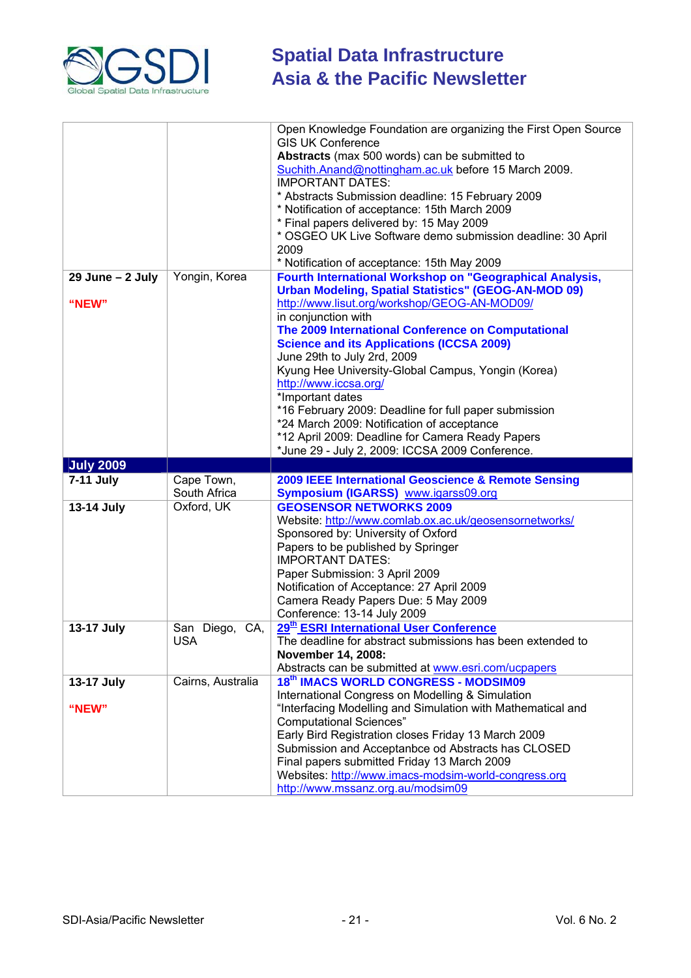

|                      |                   | Open Knowledge Foundation are organizing the First Open Source<br><b>GIS UK Conference</b><br>Abstracts (max 500 words) can be submitted to<br>Suchith.Anand@nottingham.ac.uk before 15 March 2009.<br><b>IMPORTANT DATES:</b> |
|----------------------|-------------------|--------------------------------------------------------------------------------------------------------------------------------------------------------------------------------------------------------------------------------|
|                      |                   |                                                                                                                                                                                                                                |
|                      |                   | * Abstracts Submission deadline: 15 February 2009                                                                                                                                                                              |
|                      |                   | * Notification of acceptance: 15th March 2009                                                                                                                                                                                  |
|                      |                   | * Final papers delivered by: 15 May 2009                                                                                                                                                                                       |
|                      |                   | * OSGEO UK Live Software demo submission deadline: 30 April<br>2009                                                                                                                                                            |
|                      |                   | * Notification of acceptance: 15th May 2009                                                                                                                                                                                    |
| $29$ June - $2$ July | Yongin, Korea     | Fourth International Workshop on "Geographical Analysis,                                                                                                                                                                       |
|                      |                   | <b>Urban Modeling, Spatial Statistics" (GEOG-AN-MOD 09)</b>                                                                                                                                                                    |
| "NEW"                |                   | http://www.lisut.org/workshop/GEOG-AN-MOD09/                                                                                                                                                                                   |
|                      |                   | in conjunction with                                                                                                                                                                                                            |
|                      |                   | The 2009 International Conference on Computational                                                                                                                                                                             |
|                      |                   | <b>Science and its Applications (ICCSA 2009)</b>                                                                                                                                                                               |
|                      |                   | June 29th to July 2rd, 2009                                                                                                                                                                                                    |
|                      |                   | Kyung Hee University-Global Campus, Yongin (Korea)                                                                                                                                                                             |
|                      |                   | http://www.iccsa.org/                                                                                                                                                                                                          |
|                      |                   | *Important dates                                                                                                                                                                                                               |
|                      |                   | *16 February 2009: Deadline for full paper submission                                                                                                                                                                          |
|                      |                   | *24 March 2009: Notification of acceptance                                                                                                                                                                                     |
|                      |                   | *12 April 2009: Deadline for Camera Ready Papers                                                                                                                                                                               |
|                      |                   | *June 29 - July 2, 2009: ICCSA 2009 Conference.                                                                                                                                                                                |
|                      |                   |                                                                                                                                                                                                                                |
| <b>July 2009</b>     |                   |                                                                                                                                                                                                                                |
| 7-11 July            | Cape Town,        | 2009 IEEE International Geoscience & Remote Sensing                                                                                                                                                                            |
|                      | South Africa      | Symposium (IGARSS) www.igarss09.org                                                                                                                                                                                            |
| 13-14 July           | Oxford, UK        | <b>GEOSENSOR NETWORKS 2009</b>                                                                                                                                                                                                 |
|                      |                   | Website: http://www.comlab.ox.ac.uk/geosensornetworks/                                                                                                                                                                         |
|                      |                   | Sponsored by: University of Oxford                                                                                                                                                                                             |
|                      |                   | Papers to be published by Springer                                                                                                                                                                                             |
|                      |                   | <b>IMPORTANT DATES:</b>                                                                                                                                                                                                        |
|                      |                   | Paper Submission: 3 April 2009                                                                                                                                                                                                 |
|                      |                   | Notification of Acceptance: 27 April 2009                                                                                                                                                                                      |
|                      |                   | Camera Ready Papers Due: 5 May 2009                                                                                                                                                                                            |
|                      |                   | Conference: 13-14 July 2009                                                                                                                                                                                                    |
| 13-17 July           | San Diego, CA,    | 29 <sup>th</sup> ESRI International User Conference                                                                                                                                                                            |
|                      | <b>USA</b>        | The deadline for abstract submissions has been extended to                                                                                                                                                                     |
|                      |                   | November 14, 2008:                                                                                                                                                                                                             |
|                      |                   | Abstracts can be submitted at www.esri.com/ucpapers                                                                                                                                                                            |
| 13-17 July           | Cairns, Australia | 18th IMACS WORLD CONGRESS - MODSIM09                                                                                                                                                                                           |
|                      |                   | International Congress on Modelling & Simulation                                                                                                                                                                               |
| "NEW"                |                   | "Interfacing Modelling and Simulation with Mathematical and                                                                                                                                                                    |
|                      |                   | <b>Computational Sciences"</b>                                                                                                                                                                                                 |
|                      |                   | Early Bird Registration closes Friday 13 March 2009                                                                                                                                                                            |
|                      |                   | Submission and Acceptanbce od Abstracts has CLOSED                                                                                                                                                                             |
|                      |                   | Final papers submitted Friday 13 March 2009                                                                                                                                                                                    |
|                      |                   | Websites: http://www.imacs-modsim-world-congress.org<br>http://www.mssanz.org.au/modsim09                                                                                                                                      |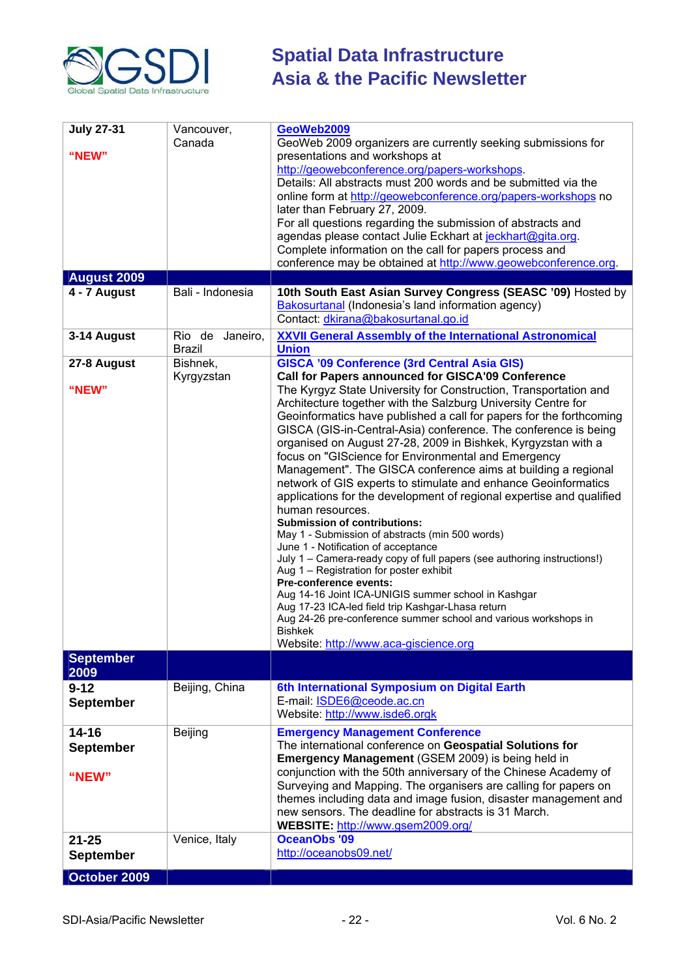

| Bali - Indonesia<br>4 - 7 August<br>Bakosurtanal (Indonesia's land information agency)<br>Contact: dkirana@bakosurtanal.go.id<br>Rio de Janeiro,<br>3-14 August<br><b>XXVII General Assembly of the International Astronomical</b><br><b>Union</b><br><b>Brazil</b><br>27-8 August<br>Bishnek,<br><b>GISCA '09 Conference (3rd Central Asia GIS)</b><br>Call for Papers announced for GISCA'09 Conference<br>Kyrgyzstan<br>The Kyrgyz State University for Construction, Transportation and<br>"NEW"<br>Architecture together with the Salzburg University Centre for<br>Geoinformatics have published a call for papers for the forthcoming<br>GISCA (GIS-in-Central-Asia) conference. The conference is being<br>organised on August 27-28, 2009 in Bishkek, Kyrgyzstan with a<br>focus on "GIScience for Environmental and Emergency<br>Management". The GISCA conference aims at building a regional<br>network of GIS experts to stimulate and enhance Geoinformatics<br>applications for the development of regional expertise and qualified<br>human resources.<br><b>Submission of contributions:</b><br>May 1 - Submission of abstracts (min 500 words)<br>June 1 - Notification of acceptance<br>July 1 – Camera-ready copy of full papers (see authoring instructions!)<br>Aug 1 - Registration for poster exhibit<br>Pre-conference events:<br>Aug 14-16 Joint ICA-UNIGIS summer school in Kashgar<br>Aug 17-23 ICA-led field trip Kashgar-Lhasa return<br>Aug 24-26 pre-conference summer school and various workshops in<br>Bishkek<br>Website: http://www.aca-giscience.org<br><b>September</b><br>2009<br>Beijing, China<br>6th International Symposium on Digital Earth<br>$9 - 12$<br>E-mail: ISDE6@ceode.ac.cn<br><b>September</b><br>Website: http://www.isde6.orgk<br>$14 - 16$<br>Beijing<br><b>Emergency Management Conference</b> | <b>July 27-31</b><br>"NEW"<br><b>August 2009</b> | Vancouver,<br>Canada | GeoWeb2009<br>GeoWeb 2009 organizers are currently seeking submissions for<br>presentations and workshops at<br>http://geowebconference.org/papers-workshops.<br>Details: All abstracts must 200 words and be submitted via the<br>online form at http://geowebconference.org/papers-workshops no<br>later than February 27, 2009.<br>For all questions regarding the submission of abstracts and<br>agendas please contact Julie Eckhart at jeckhart@gita.org.<br>Complete information on the call for papers process and<br>conference may be obtained at http://www.geowebconference.org. |
|-----------------------------------------------------------------------------------------------------------------------------------------------------------------------------------------------------------------------------------------------------------------------------------------------------------------------------------------------------------------------------------------------------------------------------------------------------------------------------------------------------------------------------------------------------------------------------------------------------------------------------------------------------------------------------------------------------------------------------------------------------------------------------------------------------------------------------------------------------------------------------------------------------------------------------------------------------------------------------------------------------------------------------------------------------------------------------------------------------------------------------------------------------------------------------------------------------------------------------------------------------------------------------------------------------------------------------------------------------------------------------------------------------------------------------------------------------------------------------------------------------------------------------------------------------------------------------------------------------------------------------------------------------------------------------------------------------------------------------------------------------------------------------------------------------------------------------------------------------------|--------------------------------------------------|----------------------|----------------------------------------------------------------------------------------------------------------------------------------------------------------------------------------------------------------------------------------------------------------------------------------------------------------------------------------------------------------------------------------------------------------------------------------------------------------------------------------------------------------------------------------------------------------------------------------------|
|                                                                                                                                                                                                                                                                                                                                                                                                                                                                                                                                                                                                                                                                                                                                                                                                                                                                                                                                                                                                                                                                                                                                                                                                                                                                                                                                                                                                                                                                                                                                                                                                                                                                                                                                                                                                                                                           |                                                  |                      | 10th South East Asian Survey Congress (SEASC '09) Hosted by                                                                                                                                                                                                                                                                                                                                                                                                                                                                                                                                  |
|                                                                                                                                                                                                                                                                                                                                                                                                                                                                                                                                                                                                                                                                                                                                                                                                                                                                                                                                                                                                                                                                                                                                                                                                                                                                                                                                                                                                                                                                                                                                                                                                                                                                                                                                                                                                                                                           |                                                  |                      |                                                                                                                                                                                                                                                                                                                                                                                                                                                                                                                                                                                              |
|                                                                                                                                                                                                                                                                                                                                                                                                                                                                                                                                                                                                                                                                                                                                                                                                                                                                                                                                                                                                                                                                                                                                                                                                                                                                                                                                                                                                                                                                                                                                                                                                                                                                                                                                                                                                                                                           |                                                  |                      |                                                                                                                                                                                                                                                                                                                                                                                                                                                                                                                                                                                              |
|                                                                                                                                                                                                                                                                                                                                                                                                                                                                                                                                                                                                                                                                                                                                                                                                                                                                                                                                                                                                                                                                                                                                                                                                                                                                                                                                                                                                                                                                                                                                                                                                                                                                                                                                                                                                                                                           |                                                  |                      |                                                                                                                                                                                                                                                                                                                                                                                                                                                                                                                                                                                              |
|                                                                                                                                                                                                                                                                                                                                                                                                                                                                                                                                                                                                                                                                                                                                                                                                                                                                                                                                                                                                                                                                                                                                                                                                                                                                                                                                                                                                                                                                                                                                                                                                                                                                                                                                                                                                                                                           |                                                  |                      |                                                                                                                                                                                                                                                                                                                                                                                                                                                                                                                                                                                              |
|                                                                                                                                                                                                                                                                                                                                                                                                                                                                                                                                                                                                                                                                                                                                                                                                                                                                                                                                                                                                                                                                                                                                                                                                                                                                                                                                                                                                                                                                                                                                                                                                                                                                                                                                                                                                                                                           |                                                  |                      |                                                                                                                                                                                                                                                                                                                                                                                                                                                                                                                                                                                              |
|                                                                                                                                                                                                                                                                                                                                                                                                                                                                                                                                                                                                                                                                                                                                                                                                                                                                                                                                                                                                                                                                                                                                                                                                                                                                                                                                                                                                                                                                                                                                                                                                                                                                                                                                                                                                                                                           |                                                  |                      |                                                                                                                                                                                                                                                                                                                                                                                                                                                                                                                                                                                              |
|                                                                                                                                                                                                                                                                                                                                                                                                                                                                                                                                                                                                                                                                                                                                                                                                                                                                                                                                                                                                                                                                                                                                                                                                                                                                                                                                                                                                                                                                                                                                                                                                                                                                                                                                                                                                                                                           |                                                  |                      |                                                                                                                                                                                                                                                                                                                                                                                                                                                                                                                                                                                              |
| Emergency Management (GSEM 2009) is being held in<br>conjunction with the 50th anniversary of the Chinese Academy of<br>"NEW"<br>Surveying and Mapping. The organisers are calling for papers on<br>themes including data and image fusion, disaster management and<br>new sensors. The deadline for abstracts is 31 March.<br>WEBSITE: http://www.gsem2009.org/<br><b>OceanObs '09</b>                                                                                                                                                                                                                                                                                                                                                                                                                                                                                                                                                                                                                                                                                                                                                                                                                                                                                                                                                                                                                                                                                                                                                                                                                                                                                                                                                                                                                                                                   | <b>September</b>                                 |                      | The international conference on Geospatial Solutions for                                                                                                                                                                                                                                                                                                                                                                                                                                                                                                                                     |
| Venice, Italy<br>$21 - 25$<br>http://oceanobs09.net/<br><b>September</b><br>October 2009                                                                                                                                                                                                                                                                                                                                                                                                                                                                                                                                                                                                                                                                                                                                                                                                                                                                                                                                                                                                                                                                                                                                                                                                                                                                                                                                                                                                                                                                                                                                                                                                                                                                                                                                                                  |                                                  |                      |                                                                                                                                                                                                                                                                                                                                                                                                                                                                                                                                                                                              |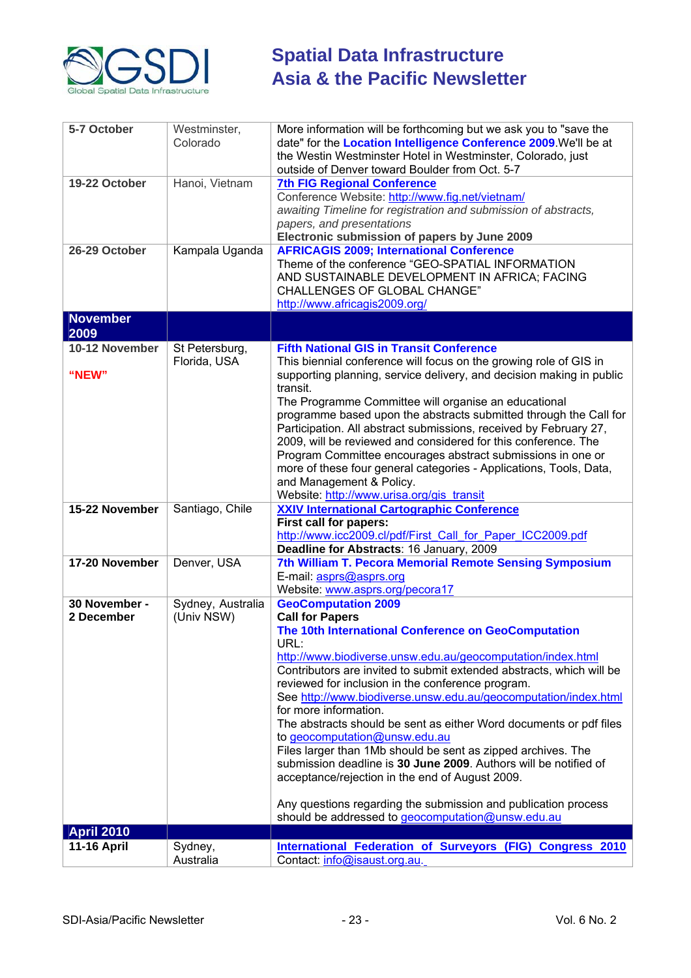

| 5-7 October                 | Westminster,<br>Colorado        | More information will be forthcoming but we ask you to "save the<br>date" for the Location Intelligence Conference 2009. We'll be at<br>the Westin Westminster Hotel in Westminster, Colorado, just<br>outside of Denver toward Boulder from Oct. 5-7                                                                                                                                                                                                                                                                                                                                                                                                                                                                                                                                                                            |
|-----------------------------|---------------------------------|----------------------------------------------------------------------------------------------------------------------------------------------------------------------------------------------------------------------------------------------------------------------------------------------------------------------------------------------------------------------------------------------------------------------------------------------------------------------------------------------------------------------------------------------------------------------------------------------------------------------------------------------------------------------------------------------------------------------------------------------------------------------------------------------------------------------------------|
| 19-22 October               | Hanoi, Vietnam                  | <b>7th FIG Regional Conference</b><br>Conference Website: http://www.fig.net/vietnam/<br>awaiting Timeline for registration and submission of abstracts,<br>papers, and presentations<br>Electronic submission of papers by June 2009                                                                                                                                                                                                                                                                                                                                                                                                                                                                                                                                                                                            |
| 26-29 October               | Kampala Uganda                  | <b>AFRICAGIS 2009; International Conference</b><br>Theme of the conference "GEO-SPATIAL INFORMATION<br>AND SUSTAINABLE DEVELOPMENT IN AFRICA; FACING<br><b>CHALLENGES OF GLOBAL CHANGE"</b><br>http://www.africagis2009.org/                                                                                                                                                                                                                                                                                                                                                                                                                                                                                                                                                                                                     |
| <b>November</b><br>2009     |                                 |                                                                                                                                                                                                                                                                                                                                                                                                                                                                                                                                                                                                                                                                                                                                                                                                                                  |
| 10-12 November<br>"NEW"     | St Petersburg,<br>Florida, USA  | <b>Fifth National GIS in Transit Conference</b><br>This biennial conference will focus on the growing role of GIS in<br>supporting planning, service delivery, and decision making in public<br>transit.<br>The Programme Committee will organise an educational                                                                                                                                                                                                                                                                                                                                                                                                                                                                                                                                                                 |
|                             |                                 | programme based upon the abstracts submitted through the Call for<br>Participation. All abstract submissions, received by February 27,<br>2009, will be reviewed and considered for this conference. The<br>Program Committee encourages abstract submissions in one or<br>more of these four general categories - Applications, Tools, Data,<br>and Management & Policy.<br>Website: http://www.urisa.org/gis_transit                                                                                                                                                                                                                                                                                                                                                                                                           |
| 15-22 November              | Santiago, Chile                 | <b>XXIV International Cartographic Conference</b><br>First call for papers:<br>http://www.icc2009.cl/pdf/First_Call_for_Paper_ICC2009.pdf<br>Deadline for Abstracts: 16 January, 2009                                                                                                                                                                                                                                                                                                                                                                                                                                                                                                                                                                                                                                            |
| 17-20 November              | Denver, USA                     | 7th William T. Pecora Memorial Remote Sensing Symposium<br>E-mail: asprs@asprs.org<br>Website: www.asprs.org/pecora17                                                                                                                                                                                                                                                                                                                                                                                                                                                                                                                                                                                                                                                                                                            |
| 30 November -<br>2 December | Sydney, Australia<br>(Univ NSW) | <b>GeoComputation 2009</b><br><b>Call for Papers</b><br>The 10th International Conference on GeoComputation<br>URL:<br>http://www.biodiverse.unsw.edu.au/geocomputation/index.html<br>Contributors are invited to submit extended abstracts, which will be<br>reviewed for inclusion in the conference program.<br>See http://www.biodiverse.unsw.edu.au/geocomputation/index.html<br>for more information.<br>The abstracts should be sent as either Word documents or pdf files<br>to geocomputation@unsw.edu.au<br>Files larger than 1Mb should be sent as zipped archives. The<br>submission deadline is 30 June 2009. Authors will be notified of<br>acceptance/rejection in the end of August 2009.<br>Any questions regarding the submission and publication process<br>should be addressed to geocomputation@unsw.edu.au |
| <b>April 2010</b>           |                                 |                                                                                                                                                                                                                                                                                                                                                                                                                                                                                                                                                                                                                                                                                                                                                                                                                                  |
| <b>11-16 April</b>          | Sydney,<br>Australia            | International Federation of Surveyors (FIG) Congress 2010<br>Contact: info@isaust.org.au.                                                                                                                                                                                                                                                                                                                                                                                                                                                                                                                                                                                                                                                                                                                                        |